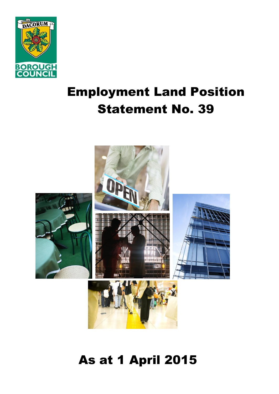

# Employment Land Position Statement No. 39



## As at 1 April 2015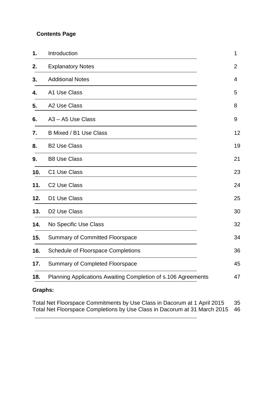#### **Contents Page**

| 1.  | Introduction                                                  | 1              |
|-----|---------------------------------------------------------------|----------------|
| 2.  | <b>Explanatory Notes</b>                                      | $\overline{2}$ |
| 3.  | <b>Additional Notes</b>                                       | 4              |
| 4.  | A1 Use Class                                                  | 5              |
| 5.  | A2 Use Class                                                  | 8              |
| 6.  | A3 - A5 Use Class                                             | 9              |
| 7.  | B Mixed / B1 Use Class                                        | 12             |
| 8.  | <b>B2 Use Class</b>                                           | 19             |
| 9.  | <b>B8 Use Class</b>                                           | 21             |
| 10. | C1 Use Class                                                  | 23             |
| 11. | C <sub>2</sub> Use Class                                      | 24             |
| 12. | D1 Use Class                                                  | 25             |
| 13. | D <sub>2</sub> Use Class                                      | 30             |
| 14. | No Specific Use Class                                         | 32             |
| 15. | <b>Summary of Committed Floorspace</b>                        | 34             |
| 16. | <b>Schedule of Floorspace Completions</b>                     | 36             |
| 17. | Summary of Completed Floorspace                               | 45             |
| 18. | Planning Applications Awaiting Completion of s.106 Agreements | 47             |
|     |                                                               |                |

## **Graphs:**

Total Net Floorspace Commitments by Use Class in Dacorum at 1 April 2015 35 Total Net Floorspace Completions by Use Class in Dacorum at 31 March 2015 46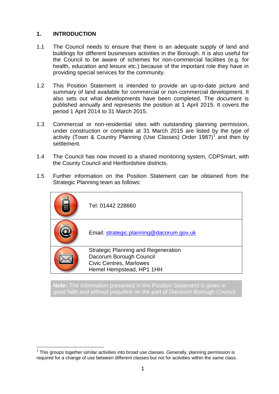#### **1. INTRODUCTION**

- 1.1 The Council needs to ensure that there is an adequate supply of land and buildings for different businesses activities in the Borough. It is also useful for the Council to be aware of schemes for non-commercial facilities (e.g. for health, education and leisure etc.) because of the important role they have in providing special services for the community.
- 1.2 This Position Statement is intended to provide an up-to-date picture and summary of land available for commercial or non-commercial development. It also sets out what developments have been completed. The document is published annually and represents the position at 1 April 2015. It covers the period 1 April 2014 to 31 March 2015.
- 1.3 Commercial or non-residential sites with outstanding planning permission, under construction or complete at 31 March 2015 are listed by the type of activity (Town & Country Planning (Use Classes) Order 1987)<sup>1</sup> and then by settlement.
- 1.4 The Council has now moved to a shared monitoring system, CDPSmart, with the County Council and Hertfordshire districts.
- 1.5 Further information on the Position Statement can be obtained from the Strategic Planning team as follows:

| Tel: 01442 228660                                                                                                                   |
|-------------------------------------------------------------------------------------------------------------------------------------|
| Email: strategic.planning@dacorum.gov.uk                                                                                            |
| <b>Strategic Planning and Regeneration</b><br>Dacorum Borough Council<br><b>Civic Centres, Marlowes</b><br>Hemel Hempstead, HP1 1HH |
|                                                                                                                                     |

**Note:** The information presented in the Position Statement is given in good faith and without prejudice on the part of Dacorum Borough Council.

<sup>1</sup>  $1$  This groups together similar activities into broad use classes. Generally, planning permission is required for a change of use between different classes but not for activities within the same class.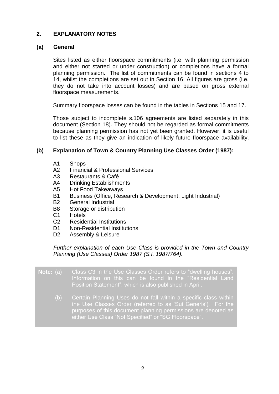#### **2. EXPLANATORY NOTES**

#### **(a) General**

Sites listed as either floorspace commitments (i.e. with planning permission and either not started or under construction) or completions have a formal planning permission. The list of commitments can be found in sections 4 to 14, whilst the completions are set out in Section 16. All figures are gross (i.e. they do not take into account losses) and are based on gross external floorspace measurements.

Summary floorspace losses can be found in the tables in Sections 15 and 17.

Those subject to incomplete s.106 agreements are listed separately in this document (Section 18). They should not be regarded as formal commitments because planning permission has not yet been granted. However, it is useful to list these as they give an indication of likely future floorspace availability.

#### **(b) Explanation of Town & Country Planning Use Classes Order (1987):**

- A1 Shops
- A2 Financial & Professional Services
- A3 Restaurants & Café
- A4 Drinking Establishments
- A5 Hot Food Takeaways
- B1 Business (Office, Research & Development, Light Industrial)
- B2 General Industrial
- B8 Storage or distribution
- C1 Hotels
- C2 Residential Institutions
- D1 Non-Residential Institutions
- D<sub>2</sub> Assembly & Leisure

#### *Further explanation of each Use Class is provided in the Town and Country Planning (Use Classes) Order 1987 (S.I. 1987/764).*

- **Note:** (a) Class C3 in the Use Classes Order refers to "dwelling houses". Information on this can be found in the "Residential Land Position Statement", which is also published in April. (b) Certain Planning Uses do not fall within a specific class within
	- the Use Classes Order (referred to as 'Sui Generis'). For the purposes of this document planning permissions are denoted as either Use Class "Not Specified" or "SG Floorspace".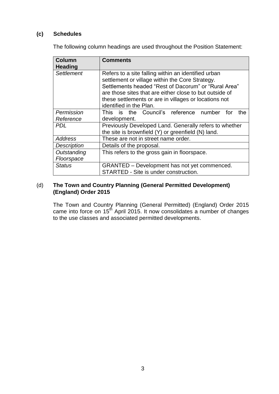#### **(c) Schedules**

The following column headings are used throughout the Position Statement:

| <b>Column</b><br><b>Heading</b> | <b>Comments</b>                                                                                                                                                                                                                                                                                               |
|---------------------------------|---------------------------------------------------------------------------------------------------------------------------------------------------------------------------------------------------------------------------------------------------------------------------------------------------------------|
| Settlement                      | Refers to a site falling within an identified urban<br>settlement or village within the Core Strategy.<br>Settlements headed "Rest of Dacorum" or "Rural Area"<br>are those sites that are either close to but outside of<br>these settlements or are in villages or locations not<br>identified in the Plan. |
| Permission                      | This is the Council's reference number<br>for<br>the                                                                                                                                                                                                                                                          |
| Reference                       | development.                                                                                                                                                                                                                                                                                                  |
| <b>PDL</b>                      | Previously Developed Land. Generally refers to whether<br>the site is brownfield (Y) or greenfield (N) land.                                                                                                                                                                                                  |
| <b>Address</b>                  | These are not in street name order.                                                                                                                                                                                                                                                                           |
| <b>Description</b>              | Details of the proposal.                                                                                                                                                                                                                                                                                      |
| Outstanding<br>Floorspace       | This refers to the gross gain in floorspace.                                                                                                                                                                                                                                                                  |
| <b>Status</b>                   | GRANTED – Development has not yet commenced.<br>STARTED - Site is under construction.                                                                                                                                                                                                                         |

#### (d) **The Town and Country Planning (General Permitted Development) (England) Order 2015**

The Town and Country Planning (General Permitted) (England) Order 2015 came into force on 15<sup>th</sup> April 2015. It now consolidates a number of changes to the use classes and associated permitted developments.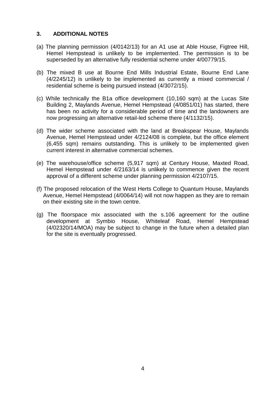#### **3. ADDITIONAL NOTES**

- (a) The planning permission (4/0142/13) for an A1 use at Able House, Figtree Hill, Hemel Hempstead is unlikely to be implemented. The permission is to be superseded by an alternative fully residential scheme under 4/00779/15.
- (b) The mixed B use at Bourne End Mills Industrial Estate, Bourne End Lane (4/2245/12) is unlikely to be implemented as currently a mixed commercial / residential scheme is being pursued instead (4/3072/15).
- (c) While technically the B1a office development (10,160 sqm) at the Lucas Site Building 2, Maylands Avenue, Hemel Hempstead (4/0851/01) has started, there has been no activity for a considerable period of time and the landowners are now progressing an alternative retail-led scheme there (4/1132/15).
- (d) The wider scheme associated with the land at Breakspear House, Maylands Avenue, Hemel Hempstead under 4/2124/08 is complete, but the office element (6,455 sqm) remains outstanding. This is unlikely to be implemented given current interest in alternative commercial schemes.
- (e) The warehouse/office scheme (5,917 sqm) at Century House, Maxted Road, Hemel Hempstead under 4/2163/14 is unlikely to commence given the recent approval of a different scheme under planning permission 4/2107/15.
- (f) The proposed relocation of the West Herts College to Quantum House, Maylands Avenue, Hemel Hempstead (4/0064/14) will not now happen as they are to remain on their existing site in the town centre.
- (g) The floorspace mix associated with the s.106 agreement for the outline development at Symbio House, Whiteleaf Road, Hemel Hempstead (4/02320/14/MOA) may be subject to change in the future when a detailed plan for the site is eventually progressed.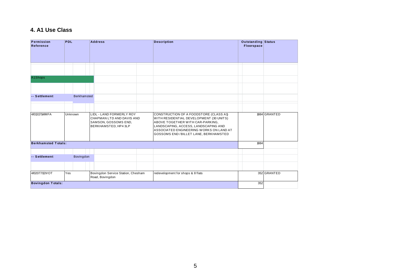#### **4. A1 Use Class**

| Permission<br>Reference    | <b>PDL</b>         | <b>Address</b>                                                                                        | <b>Description</b>                                                                                                                                                                                                                                 | Outstanding Status<br><b>Floorspace</b> |              |
|----------------------------|--------------------|-------------------------------------------------------------------------------------------------------|----------------------------------------------------------------------------------------------------------------------------------------------------------------------------------------------------------------------------------------------------|-----------------------------------------|--------------|
|                            |                    |                                                                                                       |                                                                                                                                                                                                                                                    |                                         |              |
| A1Shops                    |                    |                                                                                                       |                                                                                                                                                                                                                                                    |                                         |              |
| -- Settlement              | <b>Berkhamsted</b> |                                                                                                       |                                                                                                                                                                                                                                                    |                                         |              |
|                            |                    |                                                                                                       |                                                                                                                                                                                                                                                    |                                         |              |
| 4/01317/14/MFA             | Unknown            | LIDL - LAND FORMERLY ROY<br>CHAPMAN LTD AND DAVIS AND<br>SAMSON, GOSSOMS END,<br>BERKHAMSTED, HP4 3LP | CONSTRUCTION OF A FOODSTORE (CLASS A1)<br>WITH RESIDENTIAL DEVELOPMENT (30 UNITS)<br>ABOVE TOGETHER WITH CAR-PARKING,<br>LANDSCAPING, ACCESS, LANDSCAPING AND<br>ASSOCIATED ENGINEERING WORKS ON LAND AT<br>GOSSOMS END / BILLET LANE, BERKHAMSTED |                                         | 1884 GRANTED |
| <b>Berkhamsted Totals:</b> |                    |                                                                                                       |                                                                                                                                                                                                                                                    | 1884                                    |              |
| -- Settlement              | Bovingdon          |                                                                                                       |                                                                                                                                                                                                                                                    |                                         |              |
|                            |                    |                                                                                                       |                                                                                                                                                                                                                                                    |                                         |              |
| 4/02077/12/VOT             | Yes                | Bovingdon Service Station, Chesham<br>Road, Bovingdon                                                 | redevelopment for shops & 8 flats                                                                                                                                                                                                                  |                                         | 352 GRANTED  |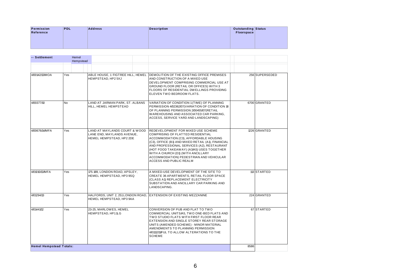| Permission<br>Reference | <b>PDL</b>         | <b>Address</b> | <b>Description</b> | Outstanding Status<br>Floorspace |  |
|-------------------------|--------------------|----------------|--------------------|----------------------------------|--|
|                         |                    |                |                    |                                  |  |
| -- Settlement           | Hemel<br>Hempstead |                |                    |                                  |  |

| -- Settlement                  | Hemel<br>Hempstead |                                                                                         |                                                                                                                                                                                                                                                                                                                                                                                       |      |                |
|--------------------------------|--------------------|-----------------------------------------------------------------------------------------|---------------------------------------------------------------------------------------------------------------------------------------------------------------------------------------------------------------------------------------------------------------------------------------------------------------------------------------------------------------------------------------|------|----------------|
|                                |                    |                                                                                         |                                                                                                                                                                                                                                                                                                                                                                                       |      |                |
| 4/00142/13/MOA                 | Yes                | ABLE HOUSE, 1 FIGTREE HILL, HEMEL<br>HEMPSTEAD, HP2 5XJ                                 | DEMOLITION OF THE EXISTING OFFICE PREMISES<br>AND CONSTRUCTION OF A MIXED USE<br>DEVELOPMENT COMPRISING COMMERCIAL USE AT<br>GROUND FLOOR (RETAIL OR OFFICES) WITH 3<br>FLOORS OF RESIDENTIAL DWELLINGS PROVIDING<br>ELEVEN TWO BEDROOM FLATS.                                                                                                                                        |      | 256 SUPERSEDED |
| 4/00377/10                     | <b>No</b>          | LAND AT JARMAN PARK, ST. ALBANS<br>HILL, HEMEL HEMPSTEAD                                | VARIATION OF CONDITION 1 (TIME) OF PLANNING<br>PERMISSION 4/02362/07(VARIATION OF CONDITION 18<br>OF PLANNING PERMISSION 2/00455/07(RETAIL<br>WAREHOUSING AND ASSOCIATED CAR PARKING.<br>ACCESS, SERVICE YARD AND LANDSCAPING)                                                                                                                                                        |      | 6700 GRANTED   |
| 4/00676/14/MFA                 | Yes                | LAND AT MAYLANDS COURT & WOOD<br>LANE END, MAYLANDS AVENUE,<br>HEMEL HEMPSTEAD, HP2 2DE | REDEVELOPMENT FOR MIXED USE SCHEME<br>COMPRISING OF FLATTED RESIDENTIAL<br>ACCOMMODATION (C3), AFFORDABLE HOUSING<br>(C3), OFFICE (B1) AND MIXED RETAIL (A1), FINANCIAL<br>AND PROFESSIONAL SERVICES (A2), RESTAURANT<br>(HOT FOOD TAKEAWAY) (A3/A5) USES TOGETHER<br>WITH A CHURCH (D1) (WITH ANCILLARY<br>ACCOMMODATION) PEDESTRIAN AND VEHICULAR<br><b>ACCESS AND PUBLIC REALM</b> |      | 1226 GRANTED   |
| 4/01010/13/MFA                 | Yes                | 175-189, LONDON ROAD, APSLEY,<br>HEMEL HEMPSTEAD, HP3 9SQ                               | A MIXED-USE DEVELOPMENT OF THE SITE TO<br>CREATE 36 APARTMENTS, RETAIL FLOOR SPACE<br>(CLASS A1) REPLACEMENT ELECTRICITY<br>SUBSTATION AND ANCILLARY CAR PARKING AND<br>LANDSCAPING.                                                                                                                                                                                                  |      | 113 STARTED    |
| 4/01294/13                     | Yes                | HALFORDS, UNIT 2, 251 LONDON ROAD,<br>HEMEL HEMPSTEAD, HP3 9AA                          | EXTENSION OF EXISTING MEZZANINE                                                                                                                                                                                                                                                                                                                                                       |      | 224 GRANTED    |
| 4/01441/12                     | Yes                | 23-25, MARLOWES, HEMEL<br>HEMPSTEAD, HP11LG                                             | CONVERSION OF PUB AND FLAT TO TWO<br>COMMERCIAL UNITS/A5, TWO ONE-BED FLATS AND<br>TWO STUDIO FLATS WITH FIRST FLOOR REAR<br>EXTENSION AND SINGLE STOREY REAR STORAGE<br>UNITS (AMENDED SCHEME) - MINOR MATERIAL<br>AMENDMENTS TO PLANNING PERMISSION<br>4/01112/11/FUL TO ALLOW ALTERATIONS TO THE<br><b>SCHEME</b>                                                                  |      | 67 STARTED     |
| <b>Hemel Hempstead Totals:</b> |                    |                                                                                         |                                                                                                                                                                                                                                                                                                                                                                                       | 8586 |                |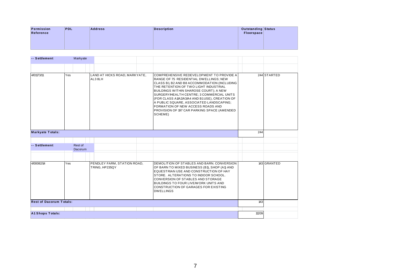| Permission    | <b>PDL</b> | <b>Address</b> | Description | Outstanding Status<br>Floorspace |  |
|---------------|------------|----------------|-------------|----------------------------------|--|
| Reference     |            |                |             |                                  |  |
|               |            |                |             |                                  |  |
|               |            |                |             |                                  |  |
|               |            |                |             |                                  |  |
| -- Settlement | Markyate   |                |             |                                  |  |
|               |            |                |             |                                  |  |

| -- Settlement                  |     | Markyate           |                                               |                                                                                                                                                                                                                                                                                                                                                                                                                                                                 |       |             |
|--------------------------------|-----|--------------------|-----------------------------------------------|-----------------------------------------------------------------------------------------------------------------------------------------------------------------------------------------------------------------------------------------------------------------------------------------------------------------------------------------------------------------------------------------------------------------------------------------------------------------|-------|-------------|
|                                |     |                    |                                               |                                                                                                                                                                                                                                                                                                                                                                                                                                                                 |       |             |
| 4/01173/11                     | Yes |                    | LAND AT HICKS ROAD, MARKYATE,<br>AL3 8LH      | COMPREHENSIVE REDEVELOPMENT TO PROVIDE A<br>RANGE OF 75 RESIDENTIAL DWELLINGS; NEW<br>CLASS B1, B2 AND B8 ACCOMMODATION (INCLUDING<br>THE RETENTION OF TWO LIGHT INDUSTRIAL<br>BUILDINGS WITHIN SHAROSE COURT); A NEW<br>SURGERY/HEALTH CENTRE; 3 COMMERCIAL UNITS<br>(FOR CLASS A1/A2/A3/A4 AND B1USE), CREATION OF<br>A PUBLIC SQUARE, ASSOCIATED LANDSCAPING;<br>FORMATION OF NEW ACCESS ROADS AND<br>PROVISION OF 197 CAR PARKING SPACE (AMENDED<br>SCHEME) |       | 244 STARTED |
| <b>Markyate Totals:</b>        |     |                    |                                               |                                                                                                                                                                                                                                                                                                                                                                                                                                                                 | 244   |             |
|                                |     |                    |                                               |                                                                                                                                                                                                                                                                                                                                                                                                                                                                 |       |             |
| -- Settlement                  |     | Rest of<br>Dacorum |                                               |                                                                                                                                                                                                                                                                                                                                                                                                                                                                 |       |             |
|                                |     |                    |                                               |                                                                                                                                                                                                                                                                                                                                                                                                                                                                 |       |             |
| 4/00082/14                     | Yes |                    | PENDLEY FARM, STATION ROAD,<br>TRING, HP235QY | DEMOLITION OF STABLES AND BARN, CONVERSION<br>OF BARN TO MIXED BUSINESS (B1), SHOP (A1) AND<br>EQUESTRIAN USE AND CONSTRUCTION OF HAY<br>STORE. ALTERATIONS TO INDOOR SCHOOL.<br><b>CONVERSION OF STABLES AND STORAGE</b><br>BUILDINGS TO FOUR LIVE/WORK UNITS AND<br>CONSTRUCTION OF GARAGES FOR EXISTING<br><b>DWELLINGS</b>                                                                                                                                  |       | 143 GRANTED |
| <b>Rest of Dacorum Totals:</b> |     |                    |                                               |                                                                                                                                                                                                                                                                                                                                                                                                                                                                 | 143   |             |
| <b>A1 Shops Totals:</b>        |     |                    |                                               |                                                                                                                                                                                                                                                                                                                                                                                                                                                                 | 11209 |             |
|                                |     |                    |                                               |                                                                                                                                                                                                                                                                                                                                                                                                                                                                 |       |             |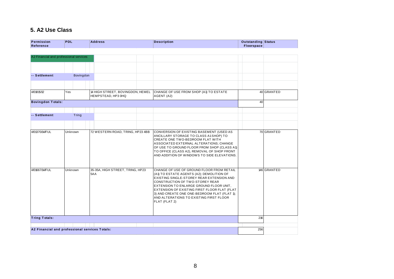## **5. A2 Use Class**

| Permission<br>Reference                        | <b>PDL</b> | <b>Address</b>                                         | <b>Description</b> |                                                                                                                                                                                                                                                                                                                                                              | <b>Outstanding Status</b><br><b>Floorspace</b> |             |
|------------------------------------------------|------------|--------------------------------------------------------|--------------------|--------------------------------------------------------------------------------------------------------------------------------------------------------------------------------------------------------------------------------------------------------------------------------------------------------------------------------------------------------------|------------------------------------------------|-------------|
|                                                |            |                                                        |                    |                                                                                                                                                                                                                                                                                                                                                              |                                                |             |
| A2 Financial and professional services         |            |                                                        |                    |                                                                                                                                                                                                                                                                                                                                                              |                                                |             |
|                                                |            |                                                        |                    |                                                                                                                                                                                                                                                                                                                                                              |                                                |             |
| -- Settlement                                  | Bovingdon  |                                                        |                    |                                                                                                                                                                                                                                                                                                                                                              |                                                |             |
|                                                |            |                                                        |                    |                                                                                                                                                                                                                                                                                                                                                              |                                                |             |
| 4/01815/12                                     | Yes        | 14 HIGH STREET, BOVINGDON, HEMEL<br>HEMPSTEAD, HP3 0HQ | AGENT (A2)         | CHANGE OF USE FROM SHOP (A1) TO ESTATE                                                                                                                                                                                                                                                                                                                       |                                                | 40 GRANTED  |
| <b>Bovingdon Totals:</b>                       |            |                                                        |                    |                                                                                                                                                                                                                                                                                                                                                              | 40                                             |             |
|                                                |            |                                                        |                    |                                                                                                                                                                                                                                                                                                                                                              |                                                |             |
| -- Settlement                                  | Tring      |                                                        |                    |                                                                                                                                                                                                                                                                                                                                                              |                                                |             |
|                                                |            |                                                        |                    |                                                                                                                                                                                                                                                                                                                                                              |                                                |             |
| 4/01370/14/FUL                                 | Unknown    | 72 WESTERN ROAD, TRING, HP23 4BB                       |                    | CONVERSION OF EXISTING BASEMENT (USED AS<br>ANCILLARY STORAGE TO CLASS A1SHOP) TO<br>CREATE ONE TWO-BEDROOM FLAT WITH<br>ASSOCIATED EXTERNAL ALTERATIONS; CHANGE<br>OF USE TO GROUND FLOOR FROM SHOP (CLASS A1)<br>TO OFFICE (CLASS A2), REMOVAL OF SHOP FRONT<br>AND ADDITION OF WINDOWS TO SIDE ELEVATIONS.                                                |                                                | 70 GRANTED  |
| 4/01667/14/FUL                                 | Unknown    | 35-35A, HIGH STREET, TRING, HP23<br>5AA                | FLAT (FLAT 2)      | CHANGE OF USE OF GROUND FLOOR FROM RETAIL<br>(A1) TO ESTATE AGENTS (A2); DEMOLITION OF<br>EXISTING SINGLE-STOREY REAR EXTENSION AND<br>CONSTRUCTION OF TWO-STOREY REAR<br>EXTENSION TO ENLARGE GROUND FLOOR UNIT,<br>EXTENSION OF EXISTING FIRST FLOOR FLAT (FLAT<br>3) AND CREATE ONE ONE-BEDROOM FLAT (FLAT 1);<br>AND ALTERATIONS TO EXISTING FIRST FLOOR |                                                | 146 GRANTED |
| <b>Tring Totals:</b>                           |            |                                                        |                    |                                                                                                                                                                                                                                                                                                                                                              | 216                                            |             |
|                                                |            |                                                        |                    |                                                                                                                                                                                                                                                                                                                                                              |                                                |             |
| A2 Financial and professional services Totals: |            |                                                        |                    |                                                                                                                                                                                                                                                                                                                                                              | 256                                            |             |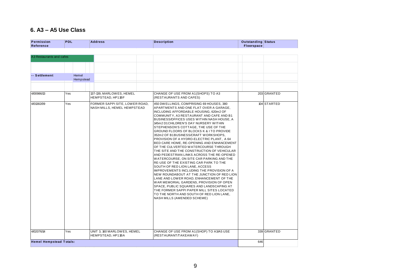## **6. A3 – A5 Use Class**

| Permission<br>Reference        | <b>PDL</b> |           | <b>Address</b>                                                | <b>Description</b>                                                                                                                                                                                                                                                                                                                                                                                                                                                                                                                                                                                                                                                                                                                                                                                                                                                                                                                                                                                                                                                                                     | <b>Outstanding Status</b><br><b>Floorspace</b> |             |
|--------------------------------|------------|-----------|---------------------------------------------------------------|--------------------------------------------------------------------------------------------------------------------------------------------------------------------------------------------------------------------------------------------------------------------------------------------------------------------------------------------------------------------------------------------------------------------------------------------------------------------------------------------------------------------------------------------------------------------------------------------------------------------------------------------------------------------------------------------------------------------------------------------------------------------------------------------------------------------------------------------------------------------------------------------------------------------------------------------------------------------------------------------------------------------------------------------------------------------------------------------------------|------------------------------------------------|-------------|
|                                |            |           |                                                               |                                                                                                                                                                                                                                                                                                                                                                                                                                                                                                                                                                                                                                                                                                                                                                                                                                                                                                                                                                                                                                                                                                        |                                                |             |
| A3 Restaurants and cafes       |            |           |                                                               |                                                                                                                                                                                                                                                                                                                                                                                                                                                                                                                                                                                                                                                                                                                                                                                                                                                                                                                                                                                                                                                                                                        |                                                |             |
|                                |            |           |                                                               |                                                                                                                                                                                                                                                                                                                                                                                                                                                                                                                                                                                                                                                                                                                                                                                                                                                                                                                                                                                                                                                                                                        |                                                |             |
|                                |            |           |                                                               |                                                                                                                                                                                                                                                                                                                                                                                                                                                                                                                                                                                                                                                                                                                                                                                                                                                                                                                                                                                                                                                                                                        |                                                |             |
| -- Settlement                  | Hemel      | Hempstead |                                                               |                                                                                                                                                                                                                                                                                                                                                                                                                                                                                                                                                                                                                                                                                                                                                                                                                                                                                                                                                                                                                                                                                                        |                                                |             |
|                                |            |           |                                                               |                                                                                                                                                                                                                                                                                                                                                                                                                                                                                                                                                                                                                                                                                                                                                                                                                                                                                                                                                                                                                                                                                                        |                                                |             |
| 4/00986/13                     | Yes        |           | 137-139, MARLOWES, HEMEL<br>HEMPSTEAD, HP11BF                 | CHANGE OF USE FROM A1(SHOPS) TO A3<br>(RESTAURANTS AND CAFES)                                                                                                                                                                                                                                                                                                                                                                                                                                                                                                                                                                                                                                                                                                                                                                                                                                                                                                                                                                                                                                          |                                                | 203 GRANTED |
| 4/01382/09                     | Yes        |           | FORMER SAPPI SITE, LOWER ROAD,<br>NASH MILLS, HEMEL HEMPSTEAD | 450 DWELLINGS, COMPRISING 69 HOUSES, 380<br>APARTMENTS AND ONE FLAT OVER A GARAGE,<br>INCLUDING AFFORDABLE HOUSING, 620m2 OF<br>COMMUNITY, A3 RESTAURANT AND CAFE AND B1<br>BUSINESS/OFFICES USES WITHIN NASH HOUSE, A<br>145m2 D1 CHILDREN'S DAY NURSERY WITHIN<br>STEPHENSON'S COTTAGE, THE USE OF THE<br>GROUND FLOORS OF BLOCKS K & I TO PROVIDE<br>352m2 OF B1BUSINESS/CRAFT WORKSHOPS,<br>PROVISION OF A HYDRO-ELECTRIC PLANT, A 64<br>BED CARE HOME, RE-OPENING AND ENHANCEMENT<br>OF THE CULVERTED WATERCOURSE THROUGH<br>THE SITE AND THE CONSTRUCTION OF VEHICULAR<br>AND PEDESTRIAN LINKS ACROSS THE RE-OPENED<br>WATERCOURSE, ON SITE CAR PARKING AND THE<br>RE-USE OF THE EXISTING CAR PARK TO THE<br>SOUTH OF RED LION LANE, ACCESS<br>IMPROVEMENTS INCLUDING THE PROVISION OF A<br>NEW ROUNDABOUT AT THE JUNCTION OF RED LION<br>LANE AND LOWER ROAD, ENHANCEMENT OF THE<br>WAR MEMORIAL GARDENS, PROVISION OF OPEN<br>SPACE, PUBLIC SQUARES AND LANDSCAPING AT<br>THE FORMER SAPPI PAPER MILL SITES LOCATED<br>TO THE NORTH AND SOUTH OF RED LION LANE,<br>NASH MILLS (AMENDED SCHEME) |                                                | 104 STARTED |
| 4/02076/14                     | Yes        |           | UNIT 3, 160 MARLOWES, HEMEL<br>HEMPSTEAD, HP11BA              | CHANGE OF USE FROM A1 (SHOP) TO A3/A5 USE<br>(RESTAURANT/TAKEAWAY)                                                                                                                                                                                                                                                                                                                                                                                                                                                                                                                                                                                                                                                                                                                                                                                                                                                                                                                                                                                                                                     |                                                | 339 GRANTED |
| <b>Hemel Hempstead Totals:</b> |            |           |                                                               |                                                                                                                                                                                                                                                                                                                                                                                                                                                                                                                                                                                                                                                                                                                                                                                                                                                                                                                                                                                                                                                                                                        | 646                                            |             |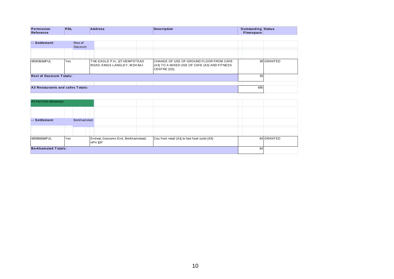| Permission | <b>PDL</b> | <b>Address</b> | <b>Description</b> | <b>Outstanding Status</b> |  |
|------------|------------|----------------|--------------------|---------------------------|--|
| Reference  |            |                |                    | Floorspace                |  |

| <b>Permission</b><br>Reference   | <b>PDL</b> |                    | <b>Address</b>                                                | <b>Description</b>                                                                                       | <b>Outstanding Status</b><br>Floorspace |            |
|----------------------------------|------------|--------------------|---------------------------------------------------------------|----------------------------------------------------------------------------------------------------------|-----------------------------------------|------------|
|                                  |            |                    |                                                               |                                                                                                          |                                         |            |
| -- Settlement                    |            | Rest of<br>Dacorum |                                                               |                                                                                                          |                                         |            |
|                                  |            |                    |                                                               |                                                                                                          |                                         |            |
| 4/03015/14/FUL                   | Yes        |                    | THE EAGLE P.H., 127 HEMPSTEAD<br>ROAD, KINGS LANGLEY, WD4 8AJ | ICHANGE OF USE OF GROUND FLOOR FROM CAFE<br>(A3) TO A MIXED USE OF CAFE (A3) AND FITNESS<br>CENTRE (D2). |                                         | 39 GRANTED |
| <b>Rest of Dacorum Totals:</b>   |            |                    |                                                               |                                                                                                          | 39                                      |            |
|                                  |            |                    |                                                               |                                                                                                          |                                         |            |
| A3 Restaurants and cafes Totals: |            |                    |                                                               |                                                                                                          | 685                                     |            |

| A5 Hot food takeaways      |     |             |  |                                                |                                              |  |            |
|----------------------------|-----|-------------|--|------------------------------------------------|----------------------------------------------|--|------------|
|                            |     |             |  |                                                |                                              |  |            |
| -- Settlement              |     | Berkhamsted |  |                                                |                                              |  |            |
|                            |     |             |  |                                                |                                              |  |            |
| 4/00868/14/FUL             | Yes |             |  | Entreat, Gossoms End, Berkhamstead,<br>HP4 1DF | Cou from retail (A1) to fast food oulet (A5) |  | 64 GRANTED |
| <b>Berkhamsted Totals:</b> |     |             |  |                                                | 64                                           |  |            |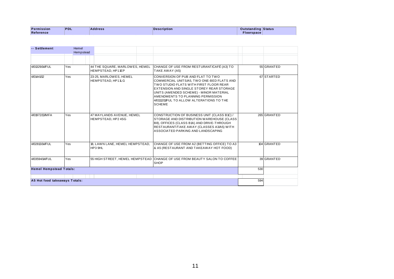| <b>Permission</b> | PDL | <b>Address</b><br>. | <b>Description</b> | Outstanding Status |  |
|-------------------|-----|---------------------|--------------------|--------------------|--|
| Reference         |     |                     |                    | Floorspace         |  |

| Reference                      |     |                    |         |                                                     |                                                                                                                                                                                                                                                                                                                      | <b>Floorspace</b> |             |
|--------------------------------|-----|--------------------|---------|-----------------------------------------------------|----------------------------------------------------------------------------------------------------------------------------------------------------------------------------------------------------------------------------------------------------------------------------------------------------------------------|-------------------|-------------|
|                                |     |                    |         |                                                     |                                                                                                                                                                                                                                                                                                                      |                   |             |
| -- Settlement                  |     | Hemel<br>Hempstead |         |                                                     |                                                                                                                                                                                                                                                                                                                      |                   |             |
|                                |     |                    |         |                                                     |                                                                                                                                                                                                                                                                                                                      |                   |             |
| 4/01329/14/FUL                 | Yes |                    |         | 44 THE SQUARE, MARLOWES, HEMEL<br>HEMPSTEAD, HP11EP | CHANGE OF USE FROM RESTURANT/CAFÉ (A3) TO<br>TAKE AWAY (A5)                                                                                                                                                                                                                                                          |                   | 55 GRANTED  |
| 4/01441/12                     | Yes |                    |         | 23-25, MARLOWES, HEMEL<br>HEMPSTEAD, HP11LG         | CONVERSION OF PUB AND FLAT TO TWO<br>COMMERCIAL UNITS/A5, TWO ONE-BED FLATS AND<br>TWO STUDIO FLATS WITH FIRST FLOOR REAR<br>EXTENSION AND SINGLE STOREY REAR STORAGE<br>UNITS (AMENDED SCHEME) - MINOR MATERIAL<br>AMENDMENTS TO PLANNING PERMISSION<br>4/01112/11/FUL TO ALLOW ALTERATIONS TO THE<br><b>SCHEME</b> |                   | 67 STARTED  |
| 4/01972/13/MFA                 | Yes |                    |         | 47 MAYLANDS AVENUE, HEMEL<br>HEMPSTEAD, HP2 4SG     | CONSTRUCTION OF BUSINESS UNIT (CLASS B1C) /<br>STORAGE AND DISTRIBUTION WAREHOUSE (CLASS<br>B8), OFFICES (CLASS B1A) AND DRIVE-THROUGH<br>RESTAURANT/TAKE AWAY (CLASSES A3/A5) WITH<br>ASSOCIATED PARKING AND LANDSCAPING                                                                                            |                   | 265 GRANTED |
| 4/02813/14/FUL                 | Yes |                    | HP3 9HL | 18, LAWN LANE, HEMEL HEMPSTEAD,                     | CHANGE OF USE FROM A2 (BETTING OFFICE) TO A3<br>& A5 (RESTAURANT AND TAKEAWAY HOT FOOD)                                                                                                                                                                                                                              |                   | 104 GRANTED |
| 4/03594/14/FUL                 | Yes |                    |         | 55 HIGH STREET, HEMEL HEMPSTEAD                     | CHANGE OF USE FROM BEAUTY SALON TO COFFEE<br><b>SHOP</b>                                                                                                                                                                                                                                                             |                   | 39 GRANTED  |
| <b>Hemel Hempstead Totals:</b> |     |                    |         |                                                     |                                                                                                                                                                                                                                                                                                                      | 530               |             |
|                                |     |                    |         |                                                     |                                                                                                                                                                                                                                                                                                                      |                   |             |
| A5 Hot food takeaways Totals:  |     |                    |         |                                                     |                                                                                                                                                                                                                                                                                                                      | 594               |             |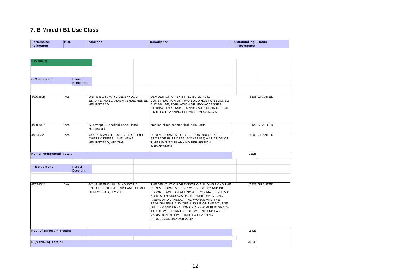### **7. B Mixed / B1 Use Class**

| Permission | <b>PDL</b> | Address | <b>Description</b> | <b>Outstanding Status</b> |  |
|------------|------------|---------|--------------------|---------------------------|--|
| Reference  |            |         |                    | Floorspace                |  |
|            |            |         |                    |                           |  |

| <b>B</b> (Various)             |                           |                                                                                           |                                                                                                                                                                                                                                                                                                                                                                                                                                |       |               |
|--------------------------------|---------------------------|-------------------------------------------------------------------------------------------|--------------------------------------------------------------------------------------------------------------------------------------------------------------------------------------------------------------------------------------------------------------------------------------------------------------------------------------------------------------------------------------------------------------------------------|-------|---------------|
|                                |                           |                                                                                           |                                                                                                                                                                                                                                                                                                                                                                                                                                |       |               |
| -- Settlement                  | Hemel<br>Hempstead        |                                                                                           |                                                                                                                                                                                                                                                                                                                                                                                                                                |       |               |
| 4/00738/10                     | Yes                       | UNITS E & F, MAYLANDS WOOD<br>ESTATE, MAYLANDS AVENUE, HEMEL<br><b>HEMPSTEAD</b>          | DEMOLITION OF EXISTING BUILDINGS.<br>CONSTRUCTION OF TWO BUILDINGS FOR B1(C), B2<br>AND B8 USE, FORMATION OF NEW ACCESSES,<br>PARKING AND LANDSCAPING - VARIATION OF TIME<br>LIMIT TO PLANNING PERMISSION 4/02525/06                                                                                                                                                                                                           |       | 6806 GRANTED  |
| 4/01090/07                     | Yes                       | Sunswept, Buncefield Lane, Hemel<br>Hempstead                                             | erection of replacement industrial units                                                                                                                                                                                                                                                                                                                                                                                       |       | 420 STARTED   |
| 4/01148/12                     | Yes                       | GOLDEN WEST FOODS LTD, THREE<br>CHERRY TREES LANE, HEMEL<br>HEMPSTEAD, HP2 7HG            | REDEVELOPMENT OF SITE FOR INDUSTRIAL /<br>STORAGE PURPOSES (B1C / B2 / B8) VARIATION OF<br>TIME LIMIT TO PLANNING PERMISSION<br>4/00523/09/MOA                                                                                                                                                                                                                                                                                 |       | 14000 GRANTED |
| <b>Hemel Hempstead Totals:</b> |                           |                                                                                           |                                                                                                                                                                                                                                                                                                                                                                                                                                | 21226 |               |
| -- Settlement                  | Rest of<br><b>Dacorum</b> |                                                                                           |                                                                                                                                                                                                                                                                                                                                                                                                                                |       |               |
| 4/02245/12                     | Yes                       | <b>BOURNE END MILLS INDUSTRIAL</b><br>ESTATE, BOURNE END LANE, HEMEL<br>HEMPSTEAD, HP12UJ | THE DEMOLITION OF EXISTING BUILDINGS AND THE<br>REDEVELOPMENT TO PROVIDE B1c, B2 AND B8<br>FLOORSPACE TOTALLING APPROXIMATELY 15,500<br>SQ M WITH ASSOCIATED PARKING, SERVICING<br>AREAS AND LANDSCAPING WORKS AND THE<br>REALIGNMENT AND OPENING UP OF THE BOURNE<br>GUTTER AND CREATION OF A NEW PUBLIC SPACE<br>AT THE WESTERN END OF BOURNE END LANE -<br>VARIATION OF TIME LIMIT TO PLANNING<br>PERMISSION 4/02524/08/MOA |       | 15423 GRANTED |
| <b>Rest of Dacorum Totals:</b> |                           |                                                                                           |                                                                                                                                                                                                                                                                                                                                                                                                                                | 15423 |               |
| <b>B</b> (Various) Totals:     |                           |                                                                                           |                                                                                                                                                                                                                                                                                                                                                                                                                                | 36649 |               |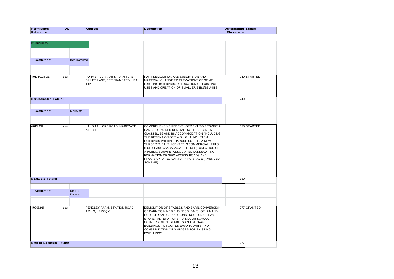| <b>DATE</b><br>ssion | PDL | <b>Address</b> | ription<br>Desci | <b>Dutstanding</b> | <b>Status</b> |
|----------------------|-----|----------------|------------------|--------------------|---------------|
|                      |     | .              | ____             |                    |               |
| $P$ ofo.<br>erence:  |     |                |                  | "space"            |               |

| <b>B1Business</b>              |                    |                                                                    |                                                                                                                                                                                                                                                                                                                                                                                                                                                                 |     |             |
|--------------------------------|--------------------|--------------------------------------------------------------------|-----------------------------------------------------------------------------------------------------------------------------------------------------------------------------------------------------------------------------------------------------------------------------------------------------------------------------------------------------------------------------------------------------------------------------------------------------------------|-----|-------------|
|                                |                    |                                                                    |                                                                                                                                                                                                                                                                                                                                                                                                                                                                 |     |             |
| -- Settlement                  | <b>Berkhamsted</b> |                                                                    |                                                                                                                                                                                                                                                                                                                                                                                                                                                                 |     |             |
|                                |                    |                                                                    |                                                                                                                                                                                                                                                                                                                                                                                                                                                                 |     |             |
| 4/01244/13/FUL                 | Yes                | FORMER DURRANTS FURNITURE,<br>BILLET LANE, BERKHAMSTED, HP4<br>1DP | PART DEMOLITION AND SUBDIVISION AND<br>MATERIAL CHANGE TO ELEVATIONS OF SOME<br>EXISTING BUILDINGS. RELOCATION OF EXISTING<br>USES AND CREATION OF SMALLER B1/B2/B8 UNITS                                                                                                                                                                                                                                                                                       |     | 740 STARTED |
| <b>Berkhamsted Totals:</b>     |                    |                                                                    |                                                                                                                                                                                                                                                                                                                                                                                                                                                                 | 740 |             |
|                                |                    |                                                                    |                                                                                                                                                                                                                                                                                                                                                                                                                                                                 |     |             |
| -- Settlement                  | Markyate           |                                                                    |                                                                                                                                                                                                                                                                                                                                                                                                                                                                 |     |             |
|                                |                    |                                                                    |                                                                                                                                                                                                                                                                                                                                                                                                                                                                 |     |             |
| 4/01173/11                     | Yes                | LAND AT HICKS ROAD, MARKYATE,<br>AL3 8LH                           | COMPREHENSIVE REDEVELOPMENT TO PROVIDE A<br>RANGE OF 75 RESIDENTIAL DWELLINGS; NEW<br>CLASS B1, B2 AND B8 ACCOMMODATION (INCLUDING<br>THE RETENTION OF TWO LIGHT INDUSTRIAL<br>BUILDINGS WITHIN SHAROSE COURT); A NEW<br>SURGERY/HEALTH CENTRE; 3 COMMERCIAL UNITS<br>(FOR CLASS A1/A2/A3/A4 AND B1USE), CREATION OF<br>A PUBLIC SQUARE, ASSOCIATED LANDSCAPING;<br>FORMATION OF NEW ACCESS ROADS AND<br>PROVISION OF 197 CAR PARKING SPACE (AMENDED<br>SCHEME) |     | 350 STARTED |
| <b>Markyate Totals:</b>        |                    |                                                                    |                                                                                                                                                                                                                                                                                                                                                                                                                                                                 | 350 |             |
| -- Settlement                  | Rest of<br>Dacorum |                                                                    |                                                                                                                                                                                                                                                                                                                                                                                                                                                                 |     |             |
|                                |                    |                                                                    |                                                                                                                                                                                                                                                                                                                                                                                                                                                                 |     |             |
| 4/00082/14                     | Yes                | PENDLEY FARM, STATION ROAD,<br>TRING, HP235QY                      | DEMOLITION OF STABLES AND BARN. CONVERSION<br>OF BARN TO MIXED BUSINESS (B1), SHOP (A1) AND<br>EQUESTRIAN USE AND CONSTRUCTION OF HAY<br>STORE. ALTERATIONS TO INDOOR SCHOOL.<br>CONVERSION OF STABLES AND STORAGE<br>BUILDINGS TO FOUR LIVE/WORK UNITS AND<br>CONSTRUCTION OF GARAGES FOR EXISTING<br><b>DWELLINGS</b>                                                                                                                                         |     | 277 GRANTED |
| <b>Rest of Dacorum Totals:</b> |                    |                                                                    |                                                                                                                                                                                                                                                                                                                                                                                                                                                                 | 277 |             |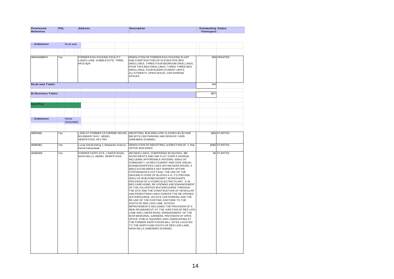|         |      |   | чог. | вин    |  |
|---------|------|---|------|--------|--|
| _______ | - 26 | . |      | ------ |  |
|         |      |   |      | .      |  |
|         |      |   |      |        |  |

| Reference                  |     |            |                                                                                   |                                                                                                                                                                                                                                                                                                                                                                                                                                                                                                                                                                                                                                                                                                                                                                                                                                                                                                                                                                                                                                                                                                         | Floorspace |               |
|----------------------------|-----|------------|-----------------------------------------------------------------------------------|---------------------------------------------------------------------------------------------------------------------------------------------------------------------------------------------------------------------------------------------------------------------------------------------------------------------------------------------------------------------------------------------------------------------------------------------------------------------------------------------------------------------------------------------------------------------------------------------------------------------------------------------------------------------------------------------------------------------------------------------------------------------------------------------------------------------------------------------------------------------------------------------------------------------------------------------------------------------------------------------------------------------------------------------------------------------------------------------------------|------------|---------------|
|                            |     |            |                                                                                   |                                                                                                                                                                                                                                                                                                                                                                                                                                                                                                                                                                                                                                                                                                                                                                                                                                                                                                                                                                                                                                                                                                         |            |               |
| -- Settlement              |     | Rural area |                                                                                   |                                                                                                                                                                                                                                                                                                                                                                                                                                                                                                                                                                                                                                                                                                                                                                                                                                                                                                                                                                                                                                                                                                         |            |               |
|                            |     |            |                                                                                   |                                                                                                                                                                                                                                                                                                                                                                                                                                                                                                                                                                                                                                                                                                                                                                                                                                                                                                                                                                                                                                                                                                         |            |               |
| 4/00434/14/MFA             | Yes |            | FORMER EGG PACKING FACILITY,<br>LUKES LANE, GUBBLECOTE, TRING,<br><b>HP23 4QH</b> | DEMOLITION OF FORMER EGG PACKING PLANT<br>AND CONSTRUCTION OF ELEVEN FIVE-BED<br>DWELLINGS, THREE FOUR BEDROOM DWELLINGS,<br>FOUR TWO-BED DWELLINGS, THREE THREE-BED<br>DWELLINGS, FOUR B1EMPLOYMENT UNITS,<br>ALLOTMENTS, OPEN SPACE, CAR PARKING<br><b>SPACES</b>                                                                                                                                                                                                                                                                                                                                                                                                                                                                                                                                                                                                                                                                                                                                                                                                                                     |            | 460 GRANTED   |
| <b>Rural area Totals:</b>  |     |            |                                                                                   |                                                                                                                                                                                                                                                                                                                                                                                                                                                                                                                                                                                                                                                                                                                                                                                                                                                                                                                                                                                                                                                                                                         | 460        |               |
|                            |     |            |                                                                                   |                                                                                                                                                                                                                                                                                                                                                                                                                                                                                                                                                                                                                                                                                                                                                                                                                                                                                                                                                                                                                                                                                                         |            |               |
| <b>B1 Business Totals:</b> |     |            |                                                                                   |                                                                                                                                                                                                                                                                                                                                                                                                                                                                                                                                                                                                                                                                                                                                                                                                                                                                                                                                                                                                                                                                                                         | 1827       |               |
|                            |     |            |                                                                                   |                                                                                                                                                                                                                                                                                                                                                                                                                                                                                                                                                                                                                                                                                                                                                                                                                                                                                                                                                                                                                                                                                                         |            |               |
| <b>B1a Offices</b>         |     |            |                                                                                   |                                                                                                                                                                                                                                                                                                                                                                                                                                                                                                                                                                                                                                                                                                                                                                                                                                                                                                                                                                                                                                                                                                         |            |               |
|                            |     |            |                                                                                   |                                                                                                                                                                                                                                                                                                                                                                                                                                                                                                                                                                                                                                                                                                                                                                                                                                                                                                                                                                                                                                                                                                         |            |               |
| -- Settlement              |     | Hemel      |                                                                                   |                                                                                                                                                                                                                                                                                                                                                                                                                                                                                                                                                                                                                                                                                                                                                                                                                                                                                                                                                                                                                                                                                                         |            |               |
|                            |     | Hempstead  |                                                                                   |                                                                                                                                                                                                                                                                                                                                                                                                                                                                                                                                                                                                                                                                                                                                                                                                                                                                                                                                                                                                                                                                                                         |            |               |
|                            |     |            |                                                                                   |                                                                                                                                                                                                                                                                                                                                                                                                                                                                                                                                                                                                                                                                                                                                                                                                                                                                                                                                                                                                                                                                                                         |            |               |
| 4/00031/13                 | Yes |            | LAND AT FORMER CATHERINE HOUSE,<br>BOUNDARY WAY, HEMEL<br>HEMPSTEAD, HP27RH       | INDUSTRIAL BUILDING (USE CLASSES B1, B2 AND<br>B8) WITH CAR PARKING AND SERVICE YARD<br>(AMENDED SCHEME)                                                                                                                                                                                                                                                                                                                                                                                                                                                                                                                                                                                                                                                                                                                                                                                                                                                                                                                                                                                                |            | 1495 STARTED  |
| 4/00851/01                 | Yes |            | Lucas Site Building 2, Maylands Avenue,<br><b>Hemel Hempstead</b>                 | DEMOLITION OF INDUSTRIAL & ERECTION OF 2 B ta<br>OFFICE BUILDINGS                                                                                                                                                                                                                                                                                                                                                                                                                                                                                                                                                                                                                                                                                                                                                                                                                                                                                                                                                                                                                                       |            | 10160 STARTED |
| 4/01382/09                 | Yes |            | FORMER SAPPI SITE, LOWER ROAD,<br>NASH MILLS, HEMEL HEMPSTEAD                     | 450 DW ELLINGS, COMPRISING 69 HOUSES, 380<br>APARTMENTS AND ONE FLAT OVER A GARAGE,<br>INCLUDING AFFORDABLE HOUSING, 620m2 OF<br>COMMUNITY, A3 RESTAURANT AND CAFE AND B1<br>BUSINESS/OFFICES USES WITHIN NASH HOUSE, A<br>145m2 D1 CHILDREN'S DAY NURSERY WITHIN<br>STEPHENSON'S COTTAGE, THE USE OF THE<br>GROUND FLOORS OF BLOCKS K & I TO PROVIDE<br>352m2 OF B1BUSINESS/CRAFT WORKSHOPS,<br>PROVISION OF A HYDRO-ELECTRIC PLANT. A 64<br>BED CARE HOME, RE-OPENING AND ENHANCEMENT<br>OF THE CULVERTED WATERCOURSE THROUGH<br>THE SITE AND THE CONSTRUCTION OF VEHICULAR<br>AND PEDESTRIAN LINKS ACROSS THE RE-OPENED<br>WATERCOURSE, ON SITE CAR PARKING AND THE<br>RE-USE OF THE EXISTING CAR PARK TO THE<br>SOUTH OF RED LION LANE, ACCESS<br>IMPROVEMENTS INCLUDING THE PROVISION OF A<br>NEW ROUNDABOUT AT THE JUNCTION OF RED LION<br>LANE AND LOWER ROAD, ENHANCEMENT OF THE<br>WAR MEMORIAL GARDENS, PROVISION OF OPEN<br>SPACE, PUBLIC SQUARES AND LANDSCAPING AT<br>THE FORMER SAPPI PAPER MILL SITES LOCATED<br>TO THE NORTH AND SOUTH OF RED LION LANE,<br>NASH MILLS (AMENDED SCHEME) |            | 80 STARTED    |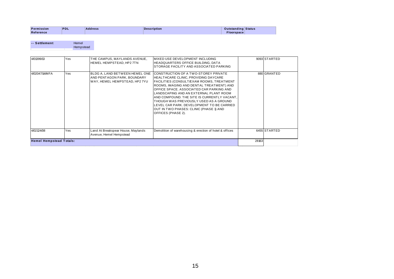| Permission | PDL | <b>Address</b> | <b>Description</b> | <b>Outstanding Status</b> |  |
|------------|-----|----------------|--------------------|---------------------------|--|
|            |     |                |                    |                           |  |
| Reference  |     |                |                    | Floorspace                |  |

| -- Settlement | Hemel     |
|---------------|-----------|
|               | Hempstead |
|               |           |

| 4/01399/13     | Yes                            | THE CAMPUS, MAYLANDS AVENUE,<br>HEMEL HEMPSTEAD, HP2 7TN                                       | MIXED USE DEVELOPMENT INCLUDING<br>HEADQUARTERS OFFICE BUILDING, DATA<br>ISTORAGE FACILITY AND ASSOCIATED PARKING                                                                                                                                                                                                                                                                                                                                                           |  | 9093 STARTED |  |
|----------------|--------------------------------|------------------------------------------------------------------------------------------------|-----------------------------------------------------------------------------------------------------------------------------------------------------------------------------------------------------------------------------------------------------------------------------------------------------------------------------------------------------------------------------------------------------------------------------------------------------------------------------|--|--------------|--|
| 4/02047/14/MFA | Yes                            | BLDG A, LAND BETWEEN HEMEL ONE<br>AND PENTAGON PARK, BOUNDARY<br>WAY, HEMEL HEMPSTEAD, HP2 7YU | <b>ICONSTRUCTION OF A TWO-STOREY PRIVATE</b><br>HEALTHCARE CLINIC, PROVIDING DAYCARE<br>FACILITIES (CONSULT/EXAM ROOMS, TREATMENT<br>ROOMS, IMAGING AND DENTAL TREATMENT) AND<br>OFFICE SPACE. ASSOCIATED CAR PARKING AND<br>LANDSCAPING AND AN EXTERNAL PLANT ROOM<br>AND COMPOUND. THE SITE IS CURRENTLY VACANT,<br>THOUGH WAS PREVIOUSLY USED AS A GROUND<br>LEVEL CAR PARK, DEVELOPMENT TO BE CARRIED<br> OUT IN TWO PHASES: CLINIC (PHASE 1) AND<br>OFFICES (PHASE 2). |  | 880 GRANTED  |  |
| 4/02124/08     | Yes                            | Land At Breakspear House, Maylands<br>Avenue, Hemel Hempstead                                  | Demolition of warehousing & erection of hotel & offices                                                                                                                                                                                                                                                                                                                                                                                                                     |  | 6455 STARTED |  |
|                | <b>Hemel Hempstead Totals:</b> |                                                                                                |                                                                                                                                                                                                                                                                                                                                                                                                                                                                             |  |              |  |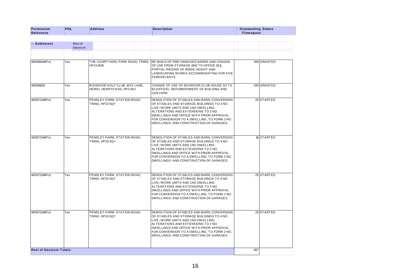| Permission<br>Reference | PDL                | <b>Address</b> | <b>Description</b> | <b>Outstanding Status</b><br>Floorspace |  |
|-------------------------|--------------------|----------------|--------------------|-----------------------------------------|--|
|                         |                    |                |                    |                                         |  |
| -- Settlement           | Rest of<br>Dacorum |                |                    |                                         |  |

| -- Settlement                  |     | Rest of<br><b>Dacorum</b> |                                                          |                                                                                                                                                                                                                                                                                                             |     |             |
|--------------------------------|-----|---------------------------|----------------------------------------------------------|-------------------------------------------------------------------------------------------------------------------------------------------------------------------------------------------------------------------------------------------------------------------------------------------------------------|-----|-------------|
|                                |     |                           |                                                          |                                                                                                                                                                                                                                                                                                             |     |             |
| 4/00486/14/FUL                 | Yes |                           | THE COURTYARD, PARK ROAD, TRING,<br><b>HP236DB</b>       | RE-BUILD OF FIRE DAMAGED BARNS AND CHANGE<br>OF USE FROM STORAGE (B8) TO OFFICE (B1),<br>PARTIAL RAISING OF RIDGE HEIGHT AND<br>LANDSCAPING WORKS ACCOMMODATING FOR FIVE<br><b>PARKING BAYS</b>                                                                                                             |     | 206 GRANTED |
| 4/00588/12                     | Yes |                           | BOXMOOR GOLF CLUB, BOX LANE,<br>HEMEL HEMPSTEAD, HP3 0DJ | CHANGE OF USE OF BOXMOOR CLUB HOUSE D2 TO<br>B1(OFFICE). REFURBISHMENT OF BUILDING AND<br><b>CAR PARK</b>                                                                                                                                                                                                   |     | 290 GRANTED |
| 4/03572/14/FUL                 | Yes |                           | PENDLEY FARM, STATION ROAD,<br>TRING, HP23 5QY           | DEMOLITION OF STABLES AND BARN; CONVERSION<br>OF STABLES AND STORAGE BUILDINGS TO 4 NO.<br>LIVE / WORK UNITS AND 1NO DWELLING;<br>ALTERATIONS AND EXTENSIONS TO 2 NO.<br>DWELLINGS AND OFFICE WITH PRIOR APPROVAL<br>FOR CONVERSION TO A DWELLING. TO FORM 2 NO.<br>DWELLINGS; AND CONSTRUCTION OF GARAGES. |     | 25 STARTED  |
| 4/03572/14/FUL                 | Yes |                           | PENDLEY FARM, STATION ROAD,<br>TRING, HP23 5QY           | DEMOLITION OF STABLES AND BARN; CONVERSION<br>OF STABLES AND STORAGE BUILDINGS TO 4 NO.<br>LIVE / WORK UNITS AND 1NO DWELLING:<br>ALTERATIONS AND EXTENSIONS TO 2 NO.<br>DWELLINGS AND OFFICE WITH PRIOR APPROVAL<br>FOR CONVERSION TO A DWELLING, TO FORM 2 NO.<br>DWELLINGS; AND CONSTRUCTION OF GARAGES. |     | 16 STARTED  |
| 4/03572/14/FUL                 | Yes |                           | PENDLEY FARM, STATION ROAD,<br>TRING, HP23 5QY           | DEMOLITION OF STABLES AND BARN; CONVERSION<br>OF STABLES AND STORAGE BUILDINGS TO 4 NO.<br>LIVE / WORK UNITS AND 1NO DWELLING;<br>ALTERATIONS AND EXTENSIONS TO 2 NO.<br>DWELLINGS AND OFFICE WITH PRIOR APPROVAL<br>FOR CONVERSION TO A DWELLING, TO FORM 2 NO.<br>DWELLINGS; AND CONSTRUCTION OF GARAGES. |     | 25 STARTED  |
| 4/03572/14/FUL                 | Yes |                           | PENDLEY FARM, STATION ROAD.<br>TRING, HP23 5QY           | DEMOLITION OF STABLES AND BARN: CONVERSION<br>OF STABLES AND STORAGE BUILDINGS TO 4 NO.<br>LIVE / WORK UNITS AND 1NO DWELLING;<br>ALTERATIONS AND EXTENSIONS TO 2 NO.<br>DWELLINGS AND OFFICE WITH PRIOR APPROVAL<br>FOR CONVERSION TO A DWELLING, TO FORM 2 NO.<br>DWELLINGS; AND CONSTRUCTION OF GARAGES. |     | 25 STARTED  |
| <b>Rest of Dacorum Totals:</b> |     |                           |                                                          |                                                                                                                                                                                                                                                                                                             | 587 |             |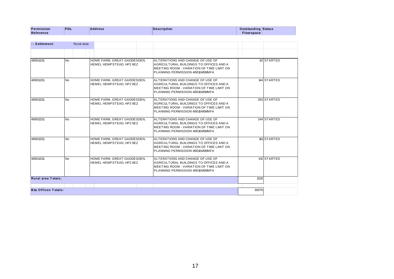| Permission<br>Reference | <b>PDL</b> | <b>Address</b> | <b>Description</b> | <b>Outstanding Status</b><br>Floorspace |  |
|-------------------------|------------|----------------|--------------------|-----------------------------------------|--|
|                         |            |                |                    |                                         |  |
| -- Settlement           | Rural area |                |                    |                                         |  |

| -- Settlement              | Rural area     |                                                         |                                                                                                                                                                        |       |             |
|----------------------------|----------------|---------------------------------------------------------|------------------------------------------------------------------------------------------------------------------------------------------------------------------------|-------|-------------|
|                            |                |                                                         |                                                                                                                                                                        |       |             |
| 4/00012/11                 | N <sub>o</sub> | HOME FARM, GREAT GADDESDEN,<br>HEMEL HEMPSTEAD, HP2 6EZ | ALTERATIONS AND CHANGE OF USE OF<br>AGRICULTURAL BUILDINGS TO OFFICES AND A<br>IMEETING ROOM - VARIATION OF TIME LIMIT ON<br>PLANNING PERMISSION 4/00104/08/MFA        |       | 82 STARTED  |
| 4/00012/11                 | <b>No</b>      | HOME FARM. GREAT GADDESDEN.<br>HEMEL HEMPSTEAD. HP2 6EZ | ALTERATIONS AND CHANGE OF USE OF<br>AGRICULTURAL BUILDINGS TO OFFICES AND A<br>IMEETING ROOM - VARIATION OF TIME LIMIT ON<br>PLANNING PERMISSION 4/00104/08/MFA        |       | 144 STARTED |
| 4/00012/11                 | <b>No</b>      | HOME FARM, GREAT GADDESDEN,<br>HEMEL HEMPSTEAD, HP2 6EZ | ALTERATIONS AND CHANGE OF USE OF<br>AGRICULTURAL BUILDINGS TO OFFICES AND A<br><b>IMEETING ROOM - VARIATION OF TIME LIMIT ON</b><br>PLANNING PERMISSION 4/00104/08/MFA |       | 263 STARTED |
| 4/00012/11                 | <b>No</b>      | HOME FARM, GREAT GADDESDEN,<br>HEMEL HEMPSTEAD, HP2 6EZ | ALTERATIONS AND CHANGE OF USE OF<br>AGRICULTURAL BUILDINGS TO OFFICES AND A<br>IMEETING ROOM - VARIATION OF TIME LIMIT ON<br>PLANNING PERMISSION 4/00104/08/MFA        |       | 244 STARTED |
| 4/00012/11                 | <b>No</b>      | HOME FARM, GREAT GADDESDEN,<br>HEMEL HEMPSTEAD, HP2 6EZ | ALTERATIONS AND CHANGE OF USE OF<br>AGRICULTURAL BUILDINGS TO OFFICES AND A<br>IMEETING ROOM - VARIATION OF TIME LIMIT ON<br>PLANNING PERMISSION 4/00104/08/MFA        |       | 181STARTED  |
| 4/00012/11                 | <b>No</b>      | HOME FARM. GREAT GADDESDEN.<br>HEMEL HEMPSTEAD, HP2 6EZ | ALTERATIONS AND CHANGE OF USE OF<br>AGRICULTURAL BUILDINGS TO OFFICES AND A<br>IMEETING ROOM - VARIATION OF TIME LIMIT ON<br>PLANNING PERMISSION 4/00104/08/MFA        |       | 412 STARTED |
| <b>Rural area Totals:</b>  |                |                                                         |                                                                                                                                                                        | 1326  |             |
|                            |                |                                                         |                                                                                                                                                                        |       |             |
| <b>B1a Offices Totals:</b> |                |                                                         |                                                                                                                                                                        | 30076 |             |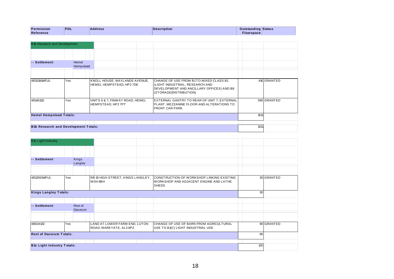| Permission                 | שי- | dress<br>______ | Description<br>the contract of the contract of | $\eta$ utstanding                                                                                                                           | Status |
|----------------------------|-----|-----------------|------------------------------------------------|---------------------------------------------------------------------------------------------------------------------------------------------|--------|
| <b>Refe</b><br>erence<br>. |     |                 |                                                | porspace<br>$\mathcal{L}^{\text{max}}_{\text{max}}$ and $\mathcal{L}^{\text{max}}_{\text{max}}$ and $\mathcal{L}^{\text{max}}_{\text{max}}$ |        |

| <b>B1b Research and Development</b>         |                    |                                                           |                                                                                                                                                           |      |             |
|---------------------------------------------|--------------------|-----------------------------------------------------------|-----------------------------------------------------------------------------------------------------------------------------------------------------------|------|-------------|
|                                             |                    |                                                           |                                                                                                                                                           |      |             |
|                                             |                    |                                                           |                                                                                                                                                           |      |             |
| -- Settlement                               | Hemel<br>Hempstead |                                                           |                                                                                                                                                           |      |             |
|                                             |                    |                                                           |                                                                                                                                                           |      |             |
| 4/01319/14/FUL                              | Yes                | KNOLL HOUSE, MAYLANDS AVENUE,<br>HEMEL HEMPSTEAD, HP2 7DE | <b>I</b> CHANGE OF USE FROM B1TO MIXED CLASS B1<br>(LIGHT INDUSTRIAL, RESEARCH AND<br>DEVELOPMENT AND ANCILLARY OFFICES) AND B8<br>(STORAGE/DISTRIBUTION) |      | 416 GRANTED |
| 4/01451/12                                  | Yes                | UNITS 6 & 7, FINW AY ROAD, HEMEL<br>HEMPSTEAD, HP2 7PT    | EXTERNAL GANTRY TO REAR OF UNIT 7, EXTERNAL<br>PLANT, MEZZANINE FLOOR AND ALTERATIONS TO<br><b>FRONT CAR PARK</b>                                         |      | 595 GRANTED |
| <b>Hemel Hempstead Totals:</b>              |                    |                                                           |                                                                                                                                                           | 1011 |             |
|                                             |                    |                                                           |                                                                                                                                                           |      |             |
| <b>B1b Research and Development Totals:</b> |                    |                                                           |                                                                                                                                                           | 1011 |             |

| -- Settlement<br>Kings<br>Langley<br>30 GRANTED<br>4/01355/14/FUL<br>Yes<br>R/0 10 HIGH STREET, KINGS LANGLEY,<br>CONSTRUCTION OF WORKSHOP LINKING EXISTING<br>WD48BH<br>WORKSHOP AND ADJACENT ENGINE AND LATHE<br><b>SHEDS</b><br>30<br><b>Kings Langley Totals:</b><br>-- Settlement<br>Rest of<br>Dacorum | <b>B1c Light Industry</b> |  |  |  |
|--------------------------------------------------------------------------------------------------------------------------------------------------------------------------------------------------------------------------------------------------------------------------------------------------------------|---------------------------|--|--|--|
|                                                                                                                                                                                                                                                                                                              |                           |  |  |  |
|                                                                                                                                                                                                                                                                                                              |                           |  |  |  |
|                                                                                                                                                                                                                                                                                                              |                           |  |  |  |
|                                                                                                                                                                                                                                                                                                              |                           |  |  |  |
|                                                                                                                                                                                                                                                                                                              |                           |  |  |  |
|                                                                                                                                                                                                                                                                                                              |                           |  |  |  |
|                                                                                                                                                                                                                                                                                                              |                           |  |  |  |
| 90 GRANTED<br>4/00241/12<br>Yes<br>LAND AT LOWER FARM END, LUTON<br>CHANGE OF USE OF BARN FROM AGRICULTURAL<br>ROAD, MARKYATE, AL3 8PZ<br>USE TO B1(C) LIGHT INDUSTRIAL USE                                                                                                                                  |                           |  |  |  |
| <b>Rest of Dacorum Totals:</b><br>90                                                                                                                                                                                                                                                                         |                           |  |  |  |
| 120<br><b>B1c Light Industry Totals:</b>                                                                                                                                                                                                                                                                     |                           |  |  |  |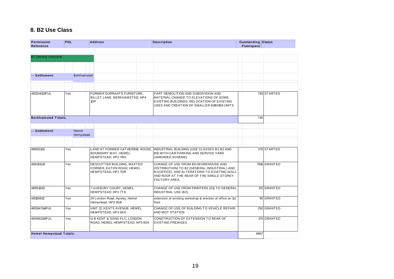## **8. B2 Use Class**

| Permission<br>Reference        | <b>PDL</b> |                    |     | <b>Address</b>                                                                | <b>Description</b>                                                                                                                                                                                      | <b>Outstanding Status</b><br><b>Floorspace</b> |              |
|--------------------------------|------------|--------------------|-----|-------------------------------------------------------------------------------|---------------------------------------------------------------------------------------------------------------------------------------------------------------------------------------------------------|------------------------------------------------|--------------|
|                                |            |                    |     |                                                                               |                                                                                                                                                                                                         |                                                |              |
| <b>B2 General industrial</b>   |            |                    |     |                                                                               |                                                                                                                                                                                                         |                                                |              |
|                                |            |                    |     |                                                                               |                                                                                                                                                                                                         |                                                |              |
| -- Settlement                  |            | <b>Berkhamsted</b> |     |                                                                               |                                                                                                                                                                                                         |                                                |              |
|                                |            |                    |     |                                                                               |                                                                                                                                                                                                         |                                                |              |
| 4/01244/13/FUL                 | Yes        |                    | 1DP | FORMER DURRANTS FURNITURE,<br>BILLET LANE, BERKHAMSTED, HP4                   | PART DEMOLITION AND SUBDIVISION AND<br>MATERIAL CHANGE TO ELEVATIONS OF SOME<br>EXISTING BUILDINGS, RELOCATION OF EXISTING<br>USES AND CREATION OF SMALLER B1/B2/B8 UNITS                               |                                                | 740 STARTED  |
| <b>Berkhamsted Totals:</b>     |            |                    |     |                                                                               |                                                                                                                                                                                                         | 740                                            |              |
| -- Settlement                  |            | Hemel              |     |                                                                               |                                                                                                                                                                                                         |                                                |              |
|                                |            | Hempstead          |     |                                                                               |                                                                                                                                                                                                         |                                                |              |
|                                |            |                    |     |                                                                               |                                                                                                                                                                                                         |                                                |              |
| 4/00031/13                     | Yes        |                    |     | LAND AT FORMER CATHERINE HOUSE.<br>BOUNDARY WAY, HEMEL<br>HEMPSTEAD, HP2 7RH  | INDUSTRIAL BUILDING (USE CLASSES B1, B2 AND<br>B8) WITH CAR PARKING AND SERVICE YARD<br>(AMENDED SCHEME)                                                                                                |                                                | 376 STARTED  |
| 4/00305/12                     | Yes        |                    |     | DESOUTTER BUILDING, MAXTED<br>CORNER, EATON ROAD, HEMEL<br>HEMPSTEAD, HP2 7DR | CHANGE OF USE FROM B8 (WAREHOUSE AND<br>DISTRIBUTION) TO B2 (GENERAL INDUSTRIAL) AND<br>B1(OFFICE) AND ALTERATIONS TO EXISTING WALL<br>AND ROOF AT THE REAR OF THE SINGLE STOREY<br><b>FACTORY AREA</b> |                                                | 7816 GRANTED |
| 4/00516/13                     | Yes        |                    |     | 7 AVEBURY COURT, HEMEL<br>HEMPSTEAD, HP2 7TA                                  | CHANGE OF USE FROM PRINTERS (D1) TO GENERAL<br><b>INDUSTRIAL USE (B2).</b>                                                                                                                              |                                                | 175 GRANTED  |
| 4/01894/12                     | Yes        |                    |     | 24 London Road, Apsley, Hemel<br>Hempstead, HP3 9SB                           | extension of existing workshop & erection of office on 1st<br>floor                                                                                                                                     |                                                | 95 GRANTED   |
| 4/02847/14/FUL                 | Yes        |                    |     | UNIT 12, KENTS AVENUE, HEMEL<br>HEMPSTEAD, HP3 9XH                            | CHANGE OF USE OF BUILDING TO VEHICLE REPAIR<br>AND MOT STATION                                                                                                                                          |                                                | 250 GRANTED  |
| 4/03562/14/FUL                 | Yes        |                    |     | <b>G B KENT &amp; SONS PLC, LONDON</b><br>ROAD, HEMEL HEMPSTEAD, HP3 9SA      | CONSTRUCTION OF EXTENSION TO REAR OF<br><b>EXISTING PREMISES</b>                                                                                                                                        |                                                | 175 GRANTED  |
| <b>Hemel Hempstead Totals:</b> |            |                    |     |                                                                               |                                                                                                                                                                                                         | 8887                                           |              |
|                                |            |                    |     |                                                                               |                                                                                                                                                                                                         |                                                |              |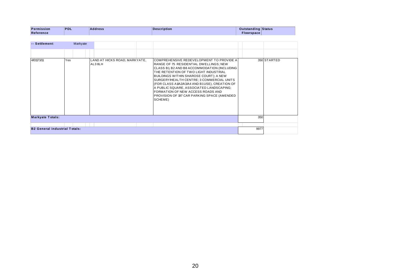| Permission<br>Reference | <b>PDL</b> | <b>Address</b> | <b>Description</b> | <b>Outstanding Status</b><br>Floorspace |  |
|-------------------------|------------|----------------|--------------------|-----------------------------------------|--|
|                         |            |                |                    |                                         |  |
| -- Settlement           | Markyate   |                |                    |                                         |  |

| -- Settlement                        | Markyate |                                          |                                                                                                                                                                                                                                                                                                                                                                                                                                                                 |      |             |
|--------------------------------------|----------|------------------------------------------|-----------------------------------------------------------------------------------------------------------------------------------------------------------------------------------------------------------------------------------------------------------------------------------------------------------------------------------------------------------------------------------------------------------------------------------------------------------------|------|-------------|
|                                      |          |                                          |                                                                                                                                                                                                                                                                                                                                                                                                                                                                 |      |             |
| 4/01173/11                           | Yes      | LAND AT HICKS ROAD, MARKYATE,<br>AL3 8LH | COMPREHENSIVE REDEVELOPMENT TO PROVIDE A<br>RANGE OF 75 RESIDENTIAL DWELLINGS; NEW<br>CLASS B1, B2 AND B8 ACCOMMODATION (INCLUDING<br>THE RETENTION OF TWO LIGHT INDUSTRIAL<br>BUILDINGS WITHIN SHAROSE COURT); A NEW<br>SURGERY/HEALTH CENTRE; 3 COMMERCIAL UNITS<br>(FOR CLASS A1/A2/A3/A4 AND B1USE), CREATION OF<br>A PUBLIC SQUARE, ASSOCIATED LANDSCAPING;<br>FORMATION OF NEW ACCESS ROADS AND<br>PROVISION OF 197 CAR PARKING SPACE (AMENDED<br>SCHEME) |      | 350 STARTED |
| <b>Markyate Totals:</b>              |          |                                          |                                                                                                                                                                                                                                                                                                                                                                                                                                                                 | 350  |             |
|                                      |          |                                          |                                                                                                                                                                                                                                                                                                                                                                                                                                                                 |      |             |
| <b>B2 General industrial Totals:</b> |          |                                          |                                                                                                                                                                                                                                                                                                                                                                                                                                                                 | 9977 |             |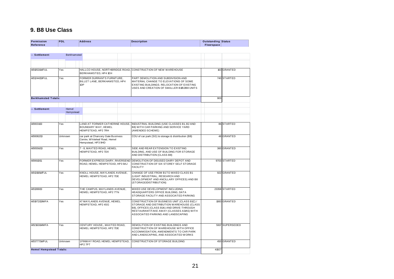## **9. B8 Use Class**

| Permission<br><b>Reference</b> | <b>PDL</b>         | <b>Address</b>                                                                            | <b>Description</b>                                                                                                                                                                                                        | Outstanding Status<br><b>Floorspace</b> |                 |
|--------------------------------|--------------------|-------------------------------------------------------------------------------------------|---------------------------------------------------------------------------------------------------------------------------------------------------------------------------------------------------------------------------|-----------------------------------------|-----------------|
|                                |                    |                                                                                           |                                                                                                                                                                                                                           |                                         |                 |
| -- Settlement                  | Berkhamsted        |                                                                                           |                                                                                                                                                                                                                           |                                         |                 |
|                                |                    |                                                                                           |                                                                                                                                                                                                                           |                                         |                 |
|                                |                    |                                                                                           |                                                                                                                                                                                                                           |                                         |                 |
| 4/01053/14/FUL                 | Yes                | BERKHAMSTED, HP4 1EH                                                                      | HALLCO HOUSE, NORTHBRIDGE ROAD, CONSTRUCTION OF NEW WAREHOUSE                                                                                                                                                             |                                         | 163 GRANTED     |
| 4/01244/13/FUL                 | Yes                | FORMER DURRANTS FURNITURE,<br>BILLET LANE, BERKHAMSTED, HP4<br>1DP                        | PART DEMOLITION AND SUBDIVISION AND<br>MATERIAL CHANGE TO ELEVATIONS OF SOME<br>EXISTING BUILDINGS. RELOCATION OF EXISTING<br>USES AND CREATION OF SMALLER B1/B2/B8 UNITS                                                 |                                         | 740 STARTED     |
| <b>Berkhamsted Totals:</b>     |                    |                                                                                           |                                                                                                                                                                                                                           | 903                                     |                 |
| -- Settlement                  | Hemel<br>Hempstead |                                                                                           |                                                                                                                                                                                                                           |                                         |                 |
|                                |                    |                                                                                           |                                                                                                                                                                                                                           |                                         |                 |
| 4/00031/13                     | Yes                | BOUNDARY WAY, HEMEL<br>HEMPSTEAD, HP2 7RH                                                 | LAND AT FORMER CATHERINE HOUSE, INDUSTRIAL BUILDING (USE CLASSES B1, B2 AND<br>B8) WITH CAR PARKING AND SERVICE YARD<br>(AMENDED SCHEME)                                                                                  |                                         | 86 STARTED      |
| 4/00082/13                     | Unknown            | car park at Chancery Gate Business<br>Centre, Whiteleaf Road, Hemel<br>Hempstead, HP3 9HD | COU of car park (SG) to storage & distribution (B8)                                                                                                                                                                       |                                         | 48 GRANTED      |
| 4/00556/13                     | Yes                | 7 - 8, MAXTED ROAD, HEMEL<br>HEMPSTEAD, HP2 7DX                                           | SIDE AND REAR EXTENSION TO EXISTING<br>BUILDING, AND USE OF BUILDING FOR STORAGE<br>AND DISTRIBUTION (CLASS B8)                                                                                                           |                                         | 360 GRANTED     |
| 4/00610/11                     | Yes                | ROAD, HEMEL HEMPSTEAD, HP3 9AJ                                                            | FORMER EXPRESS DAIRY, RIVERSEND DEMOLITION OF DISUSED DAIRY DEPOT AND<br>CONSTRUCTION OF SIX STOREY SELF STORAGE<br><b>FACILITY</b>                                                                                       |                                         | 9703 STARTED    |
| 4/01319/14/FUL                 | Yes                | KNOLL HOUSE, MAYLANDS AVENUE,<br>HEMEL HEMPSTEAD, HP2 7DE                                 | CHANGE OF USE FROM B1TO MIXED CLASS B1<br>(LIGHT INDUSTRIAL, RESEARCH AND<br>DEVELOPMENT AND ANCILLARY OFFICES) AND B8<br>(STORAGE/DISTRIBUTION)                                                                          |                                         | 922 GRANTED     |
| 4/01399/13                     | Yes                | THE CAMPUS, MAYLANDS AVENUE,<br>HEMEL HEMPSTEAD, HP2 7TN                                  | MIXED USE DEVELOPMENT INCLUDING<br>HEADQUARTERS OFFICE BUILDING, DATA<br>STORAGE FACILITY AND ASSOCIATED PARKING                                                                                                          |                                         | 23358 STARTED   |
| 4/01972/13/MFA                 | Yes                | 47 MAYLANDS AVENUE, HEMEL<br>HEMPSTEAD, HP2 4SG                                           | CONSTRUCTION OF BUSINESS UNIT (CLASS B1C) /<br>STORAGE AND DISTRIBUTION WAREHOUSE (CLASS<br>B8), OFFICES (CLASS B1A) AND DRIVE-THROUGH<br>RESTAURANT/TAKE AWAY (CLASSES A3/A5) WITH<br>ASSOCIATED PARKING AND LANDSCAPING |                                         | 1083 GRANTED    |
| 4/02163/14/MFA                 | Yes                | CENTURY HOUSE,, MAXTED ROAD,<br>HEMEL HEMPSTEAD, HP2 7DE                                  | DEMOLITION OF EXISTING BUILDINGS AND<br>CONSTRUCTION OF WAREHOUSE WITH OFFICE<br>ACCOMMODATION, AMENDMENTS TO CAR PARK<br>AND LANDSCAPING, AND ASSOCIATED WORKS                                                           |                                         | 5917 SUPERSEDED |
| 4/03777/14/FUL                 | Unknown            | 1FINWAY ROAD, HEMEL HEMPSTEAD,<br>HP27PT                                                  | CONSTRUCTION OF STORAGE BUILDING                                                                                                                                                                                          |                                         | 450 GRANTED     |
| <b>Hemel Hempstead Totals:</b> |                    |                                                                                           |                                                                                                                                                                                                                           | 41927                                   |                 |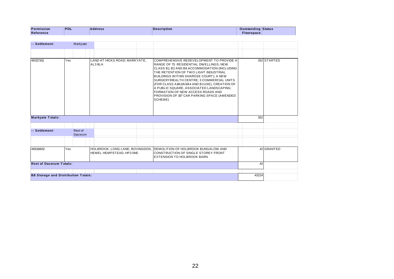| Permission<br>Reference | PDL      | <b>Address</b> | Description | <b>Outstanding Status</b><br>Floorspace |  |
|-------------------------|----------|----------------|-------------|-----------------------------------------|--|
|                         |          |                |             |                                         |  |
| -- Settlement           | Markyate |                |             |                                         |  |

| -- Settlement                              |     | Markyate                  |                                                             |                                                                                                                                                                                                                                                                                                                                                                                                                                                                  |       |             |
|--------------------------------------------|-----|---------------------------|-------------------------------------------------------------|------------------------------------------------------------------------------------------------------------------------------------------------------------------------------------------------------------------------------------------------------------------------------------------------------------------------------------------------------------------------------------------------------------------------------------------------------------------|-------|-------------|
|                                            |     |                           |                                                             |                                                                                                                                                                                                                                                                                                                                                                                                                                                                  |       |             |
| 4/01173/11                                 | Yes |                           | LAND AT HICKS ROAD, MARKYATE,<br>AL3 8LH                    | COMPREHENSIVE REDEVELOPMENT TO PROVIDE A<br>RANGE OF 75 RESIDENTIAL DWELLINGS; NEW<br>CLASS B1, B2 AND B8 ACCOMMODATION (INCLUDING<br>ITHE RETENTION OF TWO LIGHT INDUSTRIAL<br>BUILDINGS WITHIN SHAROSE COURT); A NEW<br>SURGERY/HEALTH CENTRE; 3 COMMERCIAL UNITS<br>(FOR CLASS A1/A2/A3/A4 AND B1USE), CREATION OF<br>A PUBLIC SQUARE, ASSOCIATED LANDSCAPING;<br>FORMATION OF NEW ACCESS ROADS AND<br>PROVISION OF 197 CAR PARKING SPACE (AMENDED<br>SCHEME) |       | 352 STARTED |
| <b>Markyate Totals:</b>                    |     |                           |                                                             |                                                                                                                                                                                                                                                                                                                                                                                                                                                                  | 352   |             |
| -- Settlement                              |     | Rest of<br><b>Dacorum</b> |                                                             |                                                                                                                                                                                                                                                                                                                                                                                                                                                                  |       |             |
|                                            |     |                           |                                                             |                                                                                                                                                                                                                                                                                                                                                                                                                                                                  |       |             |
| 4/00108/12                                 | Yes |                           | HOLBROOK, LONG LANE, BOVINGDON,<br>HEMEL HEMPSTEAD, HP3 ONE | <b>DEMOLITION OF HOLBROOK BUNGALOW AND</b><br>CONSTRUCTION OF SINGLE STOREY FRONT<br><b>IEXTENSION TO HOLBROOK BARN</b>                                                                                                                                                                                                                                                                                                                                          |       | 42 GRANTED  |
| <b>Rest of Dacorum Totals:</b>             |     |                           |                                                             |                                                                                                                                                                                                                                                                                                                                                                                                                                                                  | 42    |             |
|                                            |     |                           |                                                             |                                                                                                                                                                                                                                                                                                                                                                                                                                                                  |       |             |
| <b>B8 Storage and Distribution Totals:</b> |     |                           |                                                             |                                                                                                                                                                                                                                                                                                                                                                                                                                                                  | 43224 |             |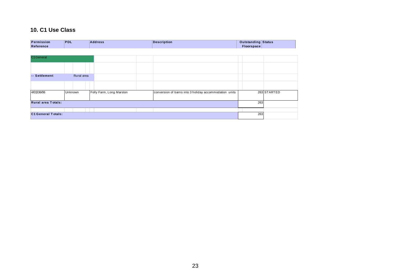## **10. C1 Use Class**

| Permission<br>Reference   | <b>PDL</b> | <b>Address</b>           | <b>Description</b>                                     | <b>Outstanding Status</b><br>Floorspace |             |
|---------------------------|------------|--------------------------|--------------------------------------------------------|-----------------------------------------|-------------|
|                           |            |                          |                                                        |                                         |             |
| C1 General                |            |                          |                                                        |                                         |             |
|                           |            |                          |                                                        |                                         |             |
| -- Settlement             | Rural area |                          |                                                        |                                         |             |
|                           |            |                          |                                                        |                                         |             |
| 4/01336/06                | Unknown    | Folly Farm, Long Marston | conversion of barns into 3 holiday accommodation units |                                         | 263 STARTED |
| <b>Rural area Totals:</b> |            |                          |                                                        | 263                                     |             |
|                           |            |                          |                                                        |                                         |             |
| <b>C1 General Totals:</b> |            |                          |                                                        | 263                                     |             |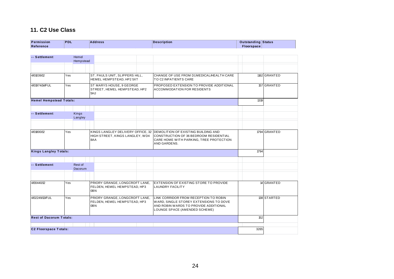## **11. C2 Use Class**

| <b>Permission</b><br>Reference | <b>PDL</b> |                    | <b>Address</b>                                                              |  | <b>Description</b>                                                                                                                                        | Outstanding Status<br>Floorspace |              |
|--------------------------------|------------|--------------------|-----------------------------------------------------------------------------|--|-----------------------------------------------------------------------------------------------------------------------------------------------------------|----------------------------------|--------------|
|                                |            |                    |                                                                             |  |                                                                                                                                                           |                                  |              |
| -- Settlement                  |            | Hemel<br>Hempstead |                                                                             |  |                                                                                                                                                           |                                  |              |
|                                |            |                    |                                                                             |  |                                                                                                                                                           |                                  |              |
| 4/01039/12                     | Yes        |                    | ST. PAULS UNIT, SLIPPERS HILL,<br>HEMEL HEMPSTEAD, HP2 5XT                  |  | CHANGE OF USE FROM D1MEDICAL/HEALTH CARE<br>TO C2 INPATIENTS CARE                                                                                         |                                  | 1162 GRANTED |
| 4/01974/14/FUL                 | Yes        |                    | ST MARYS HOUSE, 9 GEORGE<br>STREET, HEMEL HEMPSTEAD, HP2<br>5HJ             |  | PROPOSED EXTENSION TO PROVIDE ADDITIONAL<br><b>ACCOMMODATION FOR RESIDENTS</b>                                                                            |                                  | 157 GRANTED  |
| <b>Hemel Hempstead Totals:</b> |            |                    |                                                                             |  |                                                                                                                                                           | 1319                             |              |
|                                |            |                    |                                                                             |  |                                                                                                                                                           |                                  |              |
| -- Settlement                  |            | Kings<br>Langley   |                                                                             |  |                                                                                                                                                           |                                  |              |
|                                |            |                    |                                                                             |  |                                                                                                                                                           |                                  |              |
| 4/01800/12                     | Yes        |                    | KINGS LANGLEY DELIVERY OFFICE, 32<br>HIGH STREET, KINGS LANGLEY, WD4<br>8AA |  | DEMOLITION OF EXISTING BUILDING AND<br>CONSTRUCTION OF 36 BEDROOM RESIDENTIAL<br>CARE HOME WITH PARKING, TREE PROTECTION<br>AND GARDENS.                  |                                  | 1794 GRANTED |
| <b>Kings Langley Totals:</b>   |            |                    |                                                                             |  |                                                                                                                                                           | 1794                             |              |
| -- Settlement                  |            | Rest of            |                                                                             |  |                                                                                                                                                           |                                  |              |
|                                |            | <b>Dacorum</b>     |                                                                             |  |                                                                                                                                                           |                                  |              |
| 4/00440/12                     | Yes        |                    | PRIORY GRANGE, LONGCROFT LANE,<br>FELDEN, HEMEL HEMPSTEAD, HP3              |  | EXTENSION OF EXISTING STORE TO PROVIDE<br><b>LAUNDRY FACILITY</b>                                                                                         |                                  | 14 GRANTED   |
|                                |            |                    | 0 <sub>BN</sub>                                                             |  |                                                                                                                                                           |                                  |              |
| 4/02249/13/FUL                 | Yes        |                    | PRIORY GRANGE, LONGCROFT LANE,<br>FELDEN, HEMEL HEMPSTEAD, HP3<br>0BN       |  | LINK CORRIDOR FROM RECEPTION TO ROBIN<br>WARD, SINGLE STOREY EXTENSIONS TO DOVE<br>AND ROBIN WARDS TO PROVIDE ADDITIONAL<br>LOUNGE SPACE (AMENDED SCHEME) |                                  | 138 STARTED  |
| <b>Rest of Dacorum Totals:</b> |            |                    |                                                                             |  |                                                                                                                                                           | 152                              |              |
|                                |            |                    |                                                                             |  |                                                                                                                                                           |                                  |              |
| <b>C2 Floorspace Totals:</b>   |            |                    |                                                                             |  |                                                                                                                                                           | 3265                             |              |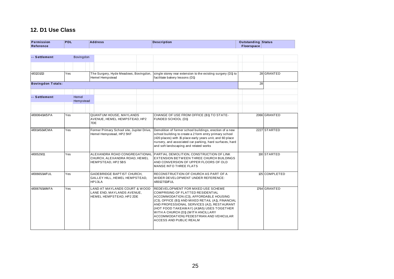## **12. D1 Use Class**

| <b>Permission</b><br>Reference | <b>PDL</b> | <b>Address</b>                                                                          | <b>Description</b>                                                                                                                                                                                                                                                                                                                                                                    | Outstanding Status<br><b>Floorspace</b> |               |  |
|--------------------------------|------------|-----------------------------------------------------------------------------------------|---------------------------------------------------------------------------------------------------------------------------------------------------------------------------------------------------------------------------------------------------------------------------------------------------------------------------------------------------------------------------------------|-----------------------------------------|---------------|--|
| -- Settlement                  | Bovingdon  |                                                                                         |                                                                                                                                                                                                                                                                                                                                                                                       |                                         |               |  |
|                                |            |                                                                                         |                                                                                                                                                                                                                                                                                                                                                                                       |                                         |               |  |
| 4/01331/13                     | Yes        | The Surgery, Hyde Meadows, Bovingdon,<br>Hemel Hempstead                                | single storey rear extension to the existing surgery (D1) to<br>facilitate bakery lessons (D1)                                                                                                                                                                                                                                                                                        |                                         | 28 GRANTED    |  |
| <b>Bovingdon Totals:</b>       |            |                                                                                         |                                                                                                                                                                                                                                                                                                                                                                                       | 28                                      |               |  |
| -- Settlement                  | Hemel      | Hempstead                                                                               |                                                                                                                                                                                                                                                                                                                                                                                       |                                         |               |  |
| 4/00064/14/SPA                 | Yes        | <b>QUANTUM HOUSE, MAYLANDS</b><br>AVENUE, HEMEL HEMPSTEAD, HP2<br>7DE                   | CHANGE OF USE FROM OFFICE (B1) TO STATE-<br>FUNDED SCHOOL (D1)                                                                                                                                                                                                                                                                                                                        |                                         | 2066 GRANTED  |  |
| 4/00145/14/CMA                 | Yes        | Former Primary School site, Jupiter Drive,<br>Hemel Hempstead, HP2 5NT                  | Demolition of former school buildings, erection of a new<br>school building to create a 2 form entry primary school<br>(420 places) with 15 place early years unit, and 60 place<br>nursery, and associated car parking, hard surfaces, hard<br>and soft landscaping and related works                                                                                                |                                         | 2227 STARTED  |  |
| 4/00529/11                     | Yes        | ALEXANDRA ROAD CONGREGATIONAL<br>CHURCH, ALEXANDRA ROAD, HEMEL<br>HEMPSTEAD, HP2 5BS    | PARTIAL DEMOLITION, CONSTRUCTION OF LINK<br>EXTENSION BETWEEN THREE CHURCH BUILDINGS<br>AND CONVERSION OF UPPER FLOORS OF OLD<br><b>MANSE INTO THREE FLATS</b>                                                                                                                                                                                                                        |                                         | 130 STARTED   |  |
| 4/00665/14/FUL                 | Yes        | <b>GADEBRIDGE BAPTIST CHURCH,</b><br>GALLEY HILL, HEMEL HEMPSTEAD,<br>HP13LA            | RECONSTRUCTION OF CHURCH AS PART OF A<br>WIDER DEVELOPMENT UNDER REFERENCE:<br>4/00127/13/FUL                                                                                                                                                                                                                                                                                         |                                         | 125 COMPLETED |  |
| 4/00676/14/MFA                 | Yes        | LAND AT MAYLANDS COURT & WOOD<br>LANE END, MAYLANDS AVENUE,<br>HEMEL HEMPSTEAD, HP2 2DE | REDEVELOPMENT FOR MIXED USE SCHEME<br><b>COMPRISING OF FLATTED RESIDENTIAL</b><br>ACCOMMODATION (C3), AFFORDABLE HOUSING<br>(C3), OFFICE (B1) AND MIXED RETAIL (A1), FINANCIAL<br>AND PROFESSIONAL SERVICES (A2), RESTAURANT<br>(HOT FOOD TAKEAWAY) (A3/A5) USES TOGETHER<br>WITH A CHURCH (D1) (WITH ANCILLARY<br>ACCOMMODATION) PEDESTRIAN AND VEHICULAR<br>ACCESS AND PUBLIC REALM |                                         | 1764 GRANTED  |  |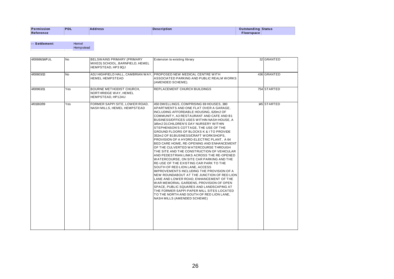| Permission | <b>PDL</b><br>and the state of the state of the state of the state of the state of the state of the state of the state of th | <b>Address</b> | Description | Outstanding Status |
|------------|------------------------------------------------------------------------------------------------------------------------------|----------------|-------------|--------------------|
| Reference  |                                                                                                                              |                |             | Floorspace         |

| -- Settlement  | Hemel<br>Hempstead |                                                                                            |                                                                                                                                                                                                                                                                                                                                                                                                                                                                                                                                                                                                                                                                                                                                                                                                                                                                                                                                                                                                                                                                                                         |             |
|----------------|--------------------|--------------------------------------------------------------------------------------------|---------------------------------------------------------------------------------------------------------------------------------------------------------------------------------------------------------------------------------------------------------------------------------------------------------------------------------------------------------------------------------------------------------------------------------------------------------------------------------------------------------------------------------------------------------------------------------------------------------------------------------------------------------------------------------------------------------------------------------------------------------------------------------------------------------------------------------------------------------------------------------------------------------------------------------------------------------------------------------------------------------------------------------------------------------------------------------------------------------|-------------|
| 4/00686/14/FUL | No                 | <b>BELSWAINS PRIMARY (PRIMARY</b><br>MIXED) SCHOOL, BARNFIELD, HEMEL<br>HEMPSTEAD, HP3 9QJ | Extension to existing library                                                                                                                                                                                                                                                                                                                                                                                                                                                                                                                                                                                                                                                                                                                                                                                                                                                                                                                                                                                                                                                                           | 32 GRANTED  |
| 4/00803/13     | <b>No</b>          | <b>HEMEL HEMPSTEAD</b>                                                                     | ADJ HIGHFIELD HALL, CAMBRIAN WAY, PROPOSED NEW MEDICAL CENTRE WITH<br>ASSOCIATED PARKING AND PUBLIC REALM WORKS<br>(AMENDED SCHEME).                                                                                                                                                                                                                                                                                                                                                                                                                                                                                                                                                                                                                                                                                                                                                                                                                                                                                                                                                                    | 436 GRANTED |
| 4/00963/11     | Yes                | <b>BOURNE METHODIST CHURCH,</b><br>NORTHRIDGE WAY, HEMEL<br>HEMPSTEAD, HP12AU              | REPLACEMENT CHURCH BUILDINGS                                                                                                                                                                                                                                                                                                                                                                                                                                                                                                                                                                                                                                                                                                                                                                                                                                                                                                                                                                                                                                                                            | 754 STARTED |
| 4/01382/09     | Yes                | FORMER SAPPI SITE, LOWER ROAD,<br>NASH MILLS, HEMEL HEMPSTEAD                              | 450 DW ELLINGS, COMPRISING 69 HOUSES, 380<br>APARTMENTS AND ONE FLAT OVER A GARAGE,<br>INCLUDING AFFORDABLE HOUSING, 620m2 OF<br>COMMUNITY. A3 RESTAURANT AND CAFE AND B1<br>BUSINESS/OFFICES USES WITHIN NASH HOUSE, A<br>145m2 D1 CHILDREN'S DAY NURSERY WITHIN<br>STEPHENSON'S COTTAGE, THE USE OF THE<br>GROUND FLOORS OF BLOCKS K & I TO PROVIDE<br>352m2 OF B1BUSINESS/CRAFT WORKSHOPS,<br>PROVISION OF A HYDRO-ELECTRIC PLANT, A 64<br>BED CARE HOME, RE-OPENING AND ENHANCEMENT<br>OF THE CULVERTED WATERCOURSE THROUGH<br>THE SITE AND THE CONSTRUCTION OF VEHICULAR<br>AND PEDESTRIAN LINKS ACROSS THE RE-OPENED<br>WATERCOURSE, ON SITE CAR PARKING AND THE<br>RE-USE OF THE EXISTING CAR PARK TO THE<br>SOUTH OF RED LION LANE, ACCESS<br>IMPROVEMENTS INCLUDING THE PROVISION OF A<br>NEW ROUNDABOUT AT THE JUNCTION OF RED LION<br>LANE AND LOWER ROAD, ENHANCEMENT OF THE<br>WAR MEMORIAL GARDENS, PROVISION OF OPEN<br>SPACE. PUBLIC SQUARES AND LANDSCAPING AT<br>THE FORMER SAPPI PAPER MILL SITES LOCATED<br>TO THE NORTH AND SOUTH OF RED LION LANE.<br>NASH MILLS (AMENDED SCHEME) | 145 STARTED |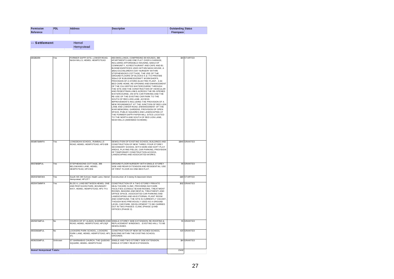| ssion          | PDL | œ | 'i ption | Outstanding Status |  |
|----------------|-----|---|----------|--------------------|--|
|                |     |   |          |                    |  |
| Data<br>rence: |     |   |          | space              |  |
|                |     |   |          |                    |  |

| -- Settlement | Hemel     |
|---------------|-----------|
|               | Hempstead |

|                                |         | Hempstead                                                                                      |                                                                                                                                                                                                                                                                                                                                                                                                                                                                                                                                                                                                                                                                                                                                                                                                                                                                                                                                                                                                                                                                                                         |       |               |
|--------------------------------|---------|------------------------------------------------------------------------------------------------|---------------------------------------------------------------------------------------------------------------------------------------------------------------------------------------------------------------------------------------------------------------------------------------------------------------------------------------------------------------------------------------------------------------------------------------------------------------------------------------------------------------------------------------------------------------------------------------------------------------------------------------------------------------------------------------------------------------------------------------------------------------------------------------------------------------------------------------------------------------------------------------------------------------------------------------------------------------------------------------------------------------------------------------------------------------------------------------------------------|-------|---------------|
|                                |         |                                                                                                |                                                                                                                                                                                                                                                                                                                                                                                                                                                                                                                                                                                                                                                                                                                                                                                                                                                                                                                                                                                                                                                                                                         |       |               |
| 4/01382/09                     | Yes     | FORMER SAPPI SITE, LOWER ROAD,<br>NASH MILLS, HEMEL HEMPSTEAD                                  | 450 DW ELLINGS, COMPRISING 69 HOUSES, 380<br>APARTMENTS AND ONE FLAT OVER A GARAGE,<br>INCLUDING AFFORDABLE HOUSING, 620m2 OF<br>COMMUNITY, A3 RESTAURANT AND CAFE AND B1<br>BUSINESS/OFFICES USES WITHIN NASH HOUSE. A<br>145m2 D1 CHILDREN'S DAY NURSERY WITHIN<br>STEPHENSON'S COTTAGE, THE USE OF THE<br>GROUND FLOORS OF BLOCKS K & I TO PROVIDE<br>352m2 OF B1BUSINESS/CRAFT WORKSHOPS,<br>PROVISION OF A HYDRO-ELECTRIC PLANT, A 64<br>BED CARE HOME, RE-OPENING AND ENHANCEMENT<br>OF THE CULVERTED WATERCOURSE THROUGH<br>THE SITE AND THE CONSTRUCTION OF VEHICULAR<br>AND PEDESTRIAN LINKS ACROSS THE RE-OPENED<br>WATERCOURSE, ON SITE CAR PARKING AND THE<br>RE-USE OF THE EXISTING CAR PARK TO THE<br>SOUTH OF RED LION LANE, ACCESS<br>IMPROVEMENTS INCLUDING THE PROVISION OF A<br>NEW ROUNDABOUT AT THE JUNCTION OF RED LION<br>LANE AND LOWER ROAD, ENHANCEMENT OF THE<br>WAR MEMORIAL GARDENS, PROVISION OF OPEN<br>SPACE, PUBLIC SQUARES AND LANDSCAPING AT<br>THE FORMER SAPPI PAPER MILL SITES LOCATED<br>TO THE NORTH AND SOUTH OF RED LION LANE,<br>NASH MILLS (AMENDED SCHEME) |       | 104 STARTED   |
| 4/01487/14/MFA                 | Yes     | LONGDEAN SCHOOL, RUMBALLS<br>ROAD, HEMEL HEMPSTEAD, HP3 8JB                                    | DEMOLITION OF EXISTING SCHOOL BUILDINGS AND<br>CONSTRUCTION OF NEW THREE / FOUR STOREY<br>SECONDARY SCHOOL WITH HARD AND SOFT PLAY<br>AREAS, PLAYING FIELDS, CAR PARKING, PROVISION<br>OF TEMPORARY CONSTRUCTION ACCESS.<br>LANDSCAPING AND ASSOCIATED WORKS.                                                                                                                                                                                                                                                                                                                                                                                                                                                                                                                                                                                                                                                                                                                                                                                                                                           |       | 11940 GRANTED |
| 4/01719/13/FUL                 | Yes     | STEPHENSONS COTTAGE, 306<br>BELSWAINS LANE, HEMEL<br>HEMPSTEAD, HP3 9XE                        | GROUND FLOOR NURSERY WITH SINGLE STOREY<br>SIDE AND REAR EXTENSION AND RESIDENTIAL USE<br>OF FIRST FLOOR AS ONE BED FLAT.                                                                                                                                                                                                                                                                                                                                                                                                                                                                                                                                                                                                                                                                                                                                                                                                                                                                                                                                                                               |       | 90 GRANTED    |
| 4/02017/13/CMA                 | Yes     | South Hill JMI School, Heath Lane, Hemel<br>Hempstead, HP11TT                                  | Construction of 2 storey 8 classroom block                                                                                                                                                                                                                                                                                                                                                                                                                                                                                                                                                                                                                                                                                                                                                                                                                                                                                                                                                                                                                                                              |       | 1148 STARTED  |
| 4/02047/14/MFA                 | Yes     | BLDG A, LAND BETWEEN HEMEL ONE<br>AND PENTAGON PARK, BOUNDARY<br>WAY, HEMEL HEMPSTEAD, HP2 7YU | CONSTRUCTION OF A TWO-STOREY PRIVATE<br>HEALTHCARE CLINIC, PROVIDING DAYCARE<br>FACILITIES (CONSULT/EXAM ROOMS, TREATMENT<br>ROOMS, IMAGING AND DENTAL TREATMENT) AND<br>OFFICE SPACE. ASSOCIATED CAR PARKING AND<br>LANDSCAPING AND AN EXTERNAL PLANT ROOM<br>AND COMPOUND. THE SITE IS CURRENTLY VACANT,<br>THOUGH WAS PREVIOUSLY USED AS A GROUND<br>LEVEL CAR PARK. DEVELOPMENT TO BE CARRIED<br>OUT IN TWO PHASES: CLINIC (PHASE 1) AND<br>OFFICES (PHASE 2).                                                                                                                                                                                                                                                                                                                                                                                                                                                                                                                                                                                                                                      |       | 1812 GRANTED  |
| 4/02587/14/FUL                 | No      | ROAD, HEMEL HEMPSTEAD, HP13QF                                                                  | CHURCH OF ST ALBAN, WARNERS END SINGLE STOREY SIDE EXTENSION, RE-ROOFING &<br>REPLACEMENT WINDOWS. . EXISTING HALL TO BE<br>DEMOLISHED.                                                                                                                                                                                                                                                                                                                                                                                                                                                                                                                                                                                                                                                                                                                                                                                                                                                                                                                                                                 |       | 55 GRANTED    |
| 4/03336/14/FUL                 | No      | LOCKERS PARK SCHOOL, LOCKERS<br>PARK LANE, HEMEL HEMPSTEAD, HP1<br><b>ITL</b>                  | CONSTRUCTION OF NEW DETACHED SCHOOL<br>BUILDING WITHIN THE EXISTING SCHOOL<br>GROUNDS.                                                                                                                                                                                                                                                                                                                                                                                                                                                                                                                                                                                                                                                                                                                                                                                                                                                                                                                                                                                                                  |       | 420 GRANTED   |
| 4/03625/14/FUL                 | Unknown | ST BARNABAS CHURCH. THE QUEENS<br>SQUARE, HEMEL HEMPSTEAD                                      | SINGLE AND TWO-STOREY SIDE EXTENSION.<br>SINGLE STOREY REAR EXTENSION.                                                                                                                                                                                                                                                                                                                                                                                                                                                                                                                                                                                                                                                                                                                                                                                                                                                                                                                                                                                                                                  |       | 164 GRANTED   |
| <b>Hemel Hempstead Totals:</b> |         |                                                                                                |                                                                                                                                                                                                                                                                                                                                                                                                                                                                                                                                                                                                                                                                                                                                                                                                                                                                                                                                                                                                                                                                                                         | 23412 |               |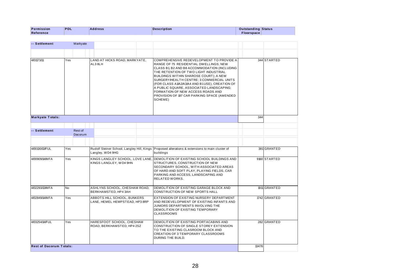| Permission<br>Reference | PDL      | <b>Address</b> | <b>Description</b> | <b>Outstanding Status</b><br>Floorspace |  |
|-------------------------|----------|----------------|--------------------|-----------------------------------------|--|
|                         |          |                |                    |                                         |  |
| -- Settlement           | Markyate |                |                    |                                         |  |

| -- Settlement                  |     | Markyate                  |                                                               |                                                                                                                                                                                                                                                                                                                                                                                                                                                                 |       |              |
|--------------------------------|-----|---------------------------|---------------------------------------------------------------|-----------------------------------------------------------------------------------------------------------------------------------------------------------------------------------------------------------------------------------------------------------------------------------------------------------------------------------------------------------------------------------------------------------------------------------------------------------------|-------|--------------|
|                                |     |                           |                                                               |                                                                                                                                                                                                                                                                                                                                                                                                                                                                 |       |              |
| 4/01173/11                     | Yes |                           | LAND AT HICKS ROAD, MARKYATE,<br>AL3 8LH                      | COMPREHENSIVE REDEVELOPMENT TO PROVIDE A<br>RANGE OF 75 RESIDENTIAL DWELLINGS; NEW<br>CLASS B1, B2 AND B8 ACCOMMODATION (INCLUDING<br>THE RETENTION OF TWO LIGHT INDUSTRIAL<br>BUILDINGS WITHIN SHAROSE COURT); A NEW<br>SURGERY/HEALTH CENTRE; 3 COMMERCIAL UNITS<br>(FOR CLASS A1/A2/A3/A4 AND B1USE), CREATION OF<br>A PUBLIC SQUARE, ASSOCIATED LANDSCAPING;<br>FORMATION OF NEW ACCESS ROADS AND<br>PROVISION OF 197 CAR PARKING SPACE (AMENDED<br>SCHEME) |       | 344 STARTED  |
| <b>Markyate Totals:</b>        |     |                           |                                                               |                                                                                                                                                                                                                                                                                                                                                                                                                                                                 | 344   |              |
|                                |     |                           |                                                               |                                                                                                                                                                                                                                                                                                                                                                                                                                                                 |       |              |
| -- Settlement                  |     | Rest of<br><b>Dacorum</b> |                                                               |                                                                                                                                                                                                                                                                                                                                                                                                                                                                 |       |              |
|                                |     |                           |                                                               |                                                                                                                                                                                                                                                                                                                                                                                                                                                                 |       |              |
| 4/00130/13/FUL                 | Yes |                           | Langley, WD4 9HG                                              | Rudolf Steiner School, Langley Hill, Kings Proposed alterations & extensions to main cluster of<br>buildings                                                                                                                                                                                                                                                                                                                                                    |       | 381 GRANTED  |
| 4/00909/14/MFA                 | Yes |                           | KINGS LANGLEY SCHOOL, LOVE LANE,<br>KINGS LANGLEY, WD4 9HN    | DEMOLITION OF EXISTING SCHOOL BUILDINGS AND<br>STRUCTURES, CONSTRUCTION OF NEW<br>SECONDARY SCHOOL, WITH ASSOCIATED AREAS<br>OF HARD AND SOFT PLAY, PLAYING FIELDS, CAR<br>PARKING AND ACCESS, LANDSCAPING AND<br><b>RELATED WORKS.</b>                                                                                                                                                                                                                         |       | 9160 STARTED |
| 4/02293/13/MFA                 | No  |                           | ASHLYNS SCHOOL, CHESHAM ROAD,<br>BERKHAMSTED, HP4 3AH         | DEMOLITION OF EXISTING GARAGE BLOCK AND<br>CONSTRUCTION OF NEW SPORTS HALL                                                                                                                                                                                                                                                                                                                                                                                      |       | 1911 GRANTED |
| 4/02849/14/MFA                 | Yes |                           | ABBOTS HILL SCHOOL, BUNKERS<br>LANE, HEMEL HEMPSTEAD, HP3 8RP | EXTENSION OF EXISTING NURSERY DEPARTMENT<br>AND REDEVELOPMENT OF EXISTING INFANTS AND<br>JUNIORS DEPARTMENTS INVOLVING THE<br>DEMOLITION OF EXISTING TEMPORARY<br><b>CLASSROOMS</b>                                                                                                                                                                                                                                                                             |       | 1742 GRANTED |
| 4/03254/14/FUL                 | Yes |                           | HARESFOOT SCHOOL, CHESHAM<br>ROAD, BERKHAMSTED, HP4 2SZ       | DEMOLITION OF EXISTING PORTACABINS AND<br>CONSTRUCTION OF SINGLE STOREY EXTENSION<br>TO THE EXISTING CLASROOM BLOCK AND<br>CREATION OF 3 TEMPORARY CLASSROOMS<br>DURING THE BUILD.                                                                                                                                                                                                                                                                              |       | 282 GRANTED  |
| <b>Rest of Dacorum Totals:</b> |     |                           |                                                               |                                                                                                                                                                                                                                                                                                                                                                                                                                                                 | 13476 |              |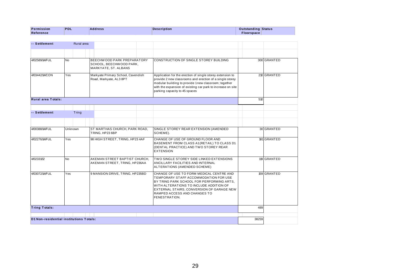| Permission<br>Reference | <b>IPDL</b> | <b>Address</b> | <b>Description</b> | <b>Outstanding Status</b><br>Floorspace |  |
|-------------------------|-------------|----------------|--------------------|-----------------------------------------|--|
|                         |             |                |                    |                                         |  |
| -- Settlement           | Rural area  |                |                    |                                         |  |

| -- Settlement                           | Rural area     |                                                                               |  |                                                                                                                                                                                                                                                                                |       |             |
|-----------------------------------------|----------------|-------------------------------------------------------------------------------|--|--------------------------------------------------------------------------------------------------------------------------------------------------------------------------------------------------------------------------------------------------------------------------------|-------|-------------|
|                                         |                |                                                                               |  |                                                                                                                                                                                                                                                                                |       |             |
| 4/02589/14/FUL                          | N <sub>o</sub> | BEECHWOOD PARK PREPARATORY<br>SCHOOL, BEECHWOOD PARK,<br>MARKYATE, ST. ALBANS |  | CONSTRUCTION OF SINGLE STOREY BUILDING                                                                                                                                                                                                                                         |       | 300 GRANTED |
| 4/03442/14/CON                          | Yes            | Markyate Primary School, Cavendish<br>Road, Markyate, AL3 8PT                 |  | Application for the erection of single storey extension to<br>provide 2 new classrooms and erection of a single storey<br>modular building to provide 1new classroom; together<br>with the expansion of existing car park to increase on site<br>parking capacity to 45 spaces |       | 210 GRANTED |
| Rural area Totals:                      |                |                                                                               |  |                                                                                                                                                                                                                                                                                | 510   |             |
| -- Settlement                           | Tring          |                                                                               |  |                                                                                                                                                                                                                                                                                |       |             |
|                                         |                |                                                                               |  |                                                                                                                                                                                                                                                                                |       |             |
| 4/00388/14/FUL                          | Unknown        | ST MARTHAS CHURCH, PARK ROAD,<br>TRING, HP23 6BP                              |  | SINGLE STOREY REAR EXTENSION (AMENDED<br>SCHEME).                                                                                                                                                                                                                              |       | 30 GRANTED  |
| 4/02276/14/FUL                          | Yes            | 98 HIGH STREET, TRING, HP23 4AF                                               |  | CHANGE OF USE OF GROUND FLOOR AND<br>BASEMENT FROM CLASS A1 (RETAIL) TO CLASS D1<br>(DENTAL PRACTICE) AND TWO STOREY REAR<br><b>EXTENSION</b>                                                                                                                                  |       | 181 GRANTED |
| 4/02331/12                              | <b>No</b>      | AKEMAN STREET BAPTIST CHURCH.<br>AKEMAN STREET, TRING, HP236AA                |  | <b>TWO SINGLE STOREY SIDE LINKED EXTENSIONS</b><br>ANCILLARY FACILITIES AND INTERNAL<br>ALTERATIONS (AMENDED SCHEME)                                                                                                                                                           |       | 119 GRANTED |
| 4/03072/14/FUL                          | Yes            | 9 MANSION DRIVE, TRING, HP235BD                                               |  | CHANGE OF USE TO FORM MEDICAL CENTRE AND<br>TEMPORARY STAFF ACCOMMODATION FOR USE<br>BY TRING PARK SCHOOL FOR PERFORMING ARTS.<br>WITH ALTERATIONS TO INCLUDE ADDITION OF<br>EXTERNAL STAIRS, CONVERSION OF GARAGE NEW<br>RAMPED ACCESS AND CHANGES TO<br>FENESTRATION.        |       | 159 GRANTED |
| <b>Tring Totals:</b>                    |                |                                                                               |  |                                                                                                                                                                                                                                                                                | 489   |             |
|                                         |                |                                                                               |  |                                                                                                                                                                                                                                                                                |       |             |
| D1 Non-residential institutions Totals: |                |                                                                               |  |                                                                                                                                                                                                                                                                                | 38259 |             |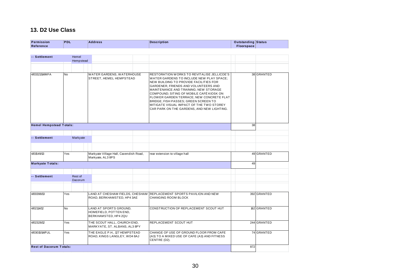## **13. D2 Use Class**

| Permission<br>Reference        | <b>PDL</b> |                    | <b>Address</b>                                                           | <b>Description</b>                                                                                                                                                                                                                                            | <b>Outstanding Status</b><br>Floorspace |             |
|--------------------------------|------------|--------------------|--------------------------------------------------------------------------|---------------------------------------------------------------------------------------------------------------------------------------------------------------------------------------------------------------------------------------------------------------|-----------------------------------------|-------------|
| -- Settlement                  |            | Hemel<br>Hempstead |                                                                          |                                                                                                                                                                                                                                                               |                                         |             |
| 4/03321/14/MFA                 | <b>No</b>  |                    | WATER GARDENS, WATERHOUSE<br>STREET, HEMEL HEMPSTEAD                     | RESTORATION WORKS TO REVITALISE JELLICOE'S<br>WATER GARDENS TO INCLUDE NEW PLAY SPACE;<br>NEW BUILDING TO PROVIDE FACILITIES FOR<br>GARDENER, FRIENDS AND VOLUNTEERS AND<br>MAINTENANCE AND TRAINING; NEW STORAGE<br>COMPOUND; SITING OF MOBILE CAFÉ KIOSK ON |                                         | 38 GRANTED  |
|                                |            |                    |                                                                          | FLOWER GARDEN TERRACE; NEW CONCRETE FLAT<br>BRIDGE; FISH PASSES; GREEN SCREEN TO<br>MITIGATE VISUAL IMPACT OF THE TWO STOREY<br>CAR PARK ON THE GARDENS, AND NEW LIGHTING.                                                                                    |                                         |             |
| <b>Hemel Hempstead Totals:</b> |            |                    |                                                                          |                                                                                                                                                                                                                                                               | 38                                      |             |
| -- Settlement                  |            | Markyate           |                                                                          |                                                                                                                                                                                                                                                               |                                         |             |
| 4/01549/13                     | Yes        |                    | Markyate Village Hall, Cavendish Road,<br>Markyate, AL3 8PS              | rear extension to village hall                                                                                                                                                                                                                                |                                         | 49 GRANTED  |
| <b>Markyate Totals:</b>        |            |                    |                                                                          |                                                                                                                                                                                                                                                               | 49                                      |             |
| -- Settlement                  |            | Rest of<br>Dacorum |                                                                          |                                                                                                                                                                                                                                                               |                                         |             |
| 4/00398/13                     | Yes        |                    | LAND AT CHESHAM FIELDS, CHESHAM<br>ROAD, BERKHAMSTED, HP4 3AE            | REPLACEMENT SPORTS PAVILION AND NEW<br>CHANGING ROOM BLOCK                                                                                                                                                                                                    |                                         | 392 GRANTED |
| 4/02114/12                     | <b>No</b>  |                    | LAND AT SPORTS GROUND,<br>HOMEFIELD, POTTEN END,<br>BERKHAMSTED, HP4 2QU | CONSTRUCTION OF REPLACEMENT SCOUT HUT                                                                                                                                                                                                                         |                                         | 162 GRANTED |
| 4/02328/12                     | Yes        |                    | THE SCOUT HALL, CHURCH END,<br>MARKYATE, ST. ALBANS, AL3 8PY             | REPLACEMENT SCOUT HUT                                                                                                                                                                                                                                         |                                         | 244 GRANTED |
| 4/03015/14/FUL                 | Yes        |                    | THE EAGLE P.H., 127 HEMPSTEAD<br>ROAD, KINGS LANGLEY, WD4 8AJ            | CHANGE OF USE OF GROUND FLOOR FROM CAFE<br>(A3) TO A MIXED USE OF CAFE (A3) AND FITNESS<br>CENTRE (D2).                                                                                                                                                       |                                         | 74 GRANTED  |
| <b>Rest of Dacorum Totals:</b> |            |                    |                                                                          |                                                                                                                                                                                                                                                               | 872                                     |             |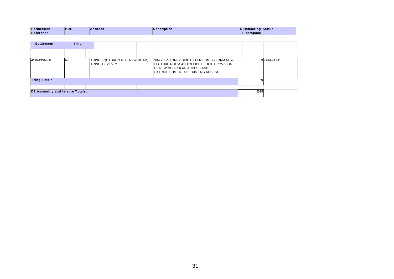| Permission | <b>PDL</b> | <b>Address</b> | <b>Description</b> | <b>Outstanding Status</b> |  |
|------------|------------|----------------|--------------------|---------------------------|--|
|            |            |                |                    |                           |  |
| Reference  |            |                |                    | Floorspace                |  |
|            |            |                |                    |                           |  |

| Permission<br>Reference         | PDL       | <b>Address</b>                                   | <b>Description</b>                                                                                                                                       | <b>Outstanding Status</b><br>Floorspace |            |
|---------------------------------|-----------|--------------------------------------------------|----------------------------------------------------------------------------------------------------------------------------------------------------------|-----------------------------------------|------------|
|                                 |           |                                                  |                                                                                                                                                          |                                         |            |
| -- Settlement                   | Tring     |                                                  |                                                                                                                                                          |                                         |            |
|                                 |           |                                                  |                                                                                                                                                          |                                         |            |
| 4/00443/14/FUL                  | <b>No</b> | TRING SQUADRON ATC, NEW ROAD,<br>TRING, HP23 5EY | SINGLE-STOREY SIDE EXTENSION TO FORM NEW<br>LECTURE ROOM AND OFFICE BLOCK, PROVISION<br>OF NEW VEHICULAR ACCESS AND<br>EXTINGUISHMENT OF EXISTING ACCESS |                                         | 69 GRANTED |
| <b>Tring Totals:</b>            |           |                                                  |                                                                                                                                                          | 69                                      |            |
|                                 |           |                                                  |                                                                                                                                                          |                                         |            |
| D2 Assembly and leisure Totals: |           |                                                  |                                                                                                                                                          | 1028                                    |            |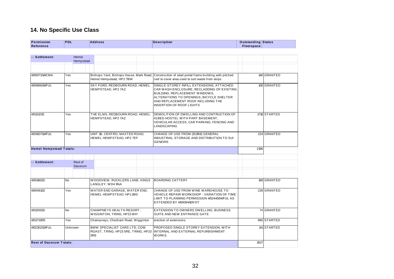## **14. No Specific Use Class**

| Permission<br>Reference        | <b>PDL</b><br><b>Address</b> |                    |                                                           | <b>Description</b>                                                         | <b>Outstanding Status</b><br><b>Floorspace</b> |                                                                                                                                                                                                                                                |      |              |
|--------------------------------|------------------------------|--------------------|-----------------------------------------------------------|----------------------------------------------------------------------------|------------------------------------------------|------------------------------------------------------------------------------------------------------------------------------------------------------------------------------------------------------------------------------------------------|------|--------------|
| -- Settlement                  |                              | Hemel<br>Hempstead |                                                           |                                                                            |                                                |                                                                                                                                                                                                                                                |      |              |
| 4/00073/14/CMA                 | Yes                          |                    |                                                           | Hemel Hempstead, HP2 7BW                                                   |                                                | Bishops Yard, Bishops House, Mark Road, Construction of steel portal frame building with pitched<br>roof to cover area used to sort waste from skips                                                                                           |      | 146 GRANTED  |
| 4/00866/14/FUL                 | Yes                          |                    |                                                           | SKY FORD, REDBOURN ROAD, HEMEL<br>HEMPSTEAD, HP2 7AZ                       |                                                | SINGLE-STOREY INFILL EXTENSIONS, ATTACHED<br>CAR WASH ENCLOSURE, RECLADDING OF EXISTING<br>BUILDING, REPLACEMENT WINDOWS,<br>ALTERATIONS TO OPENINGS, BICYCLE SHELTER<br>AND REPLACEMENT ROOF INCLUDING THE<br><b>INSERTION OF ROOF LIGHTS</b> |      | 108 GRANTED  |
| 4/01312/13                     | Yes                          |                    |                                                           | THE ELMS, REDBOURN ROAD, HEMEL<br>HEMPSTEAD, HP2 7AZ                       |                                                | DEMOLITION OF DWELLING AND CONTRUCTION OF<br>41 BED HOSTEL WITH PART BASEMENT,<br>VEHICULAR ACCESS, CAR PARKING, FENCING AND<br>LANDSCAPING                                                                                                    |      | 1718 STARTED |
| 4/03607/14/FUL                 | Yes                          |                    | UNIT 1B, CENTRO, MAXTED ROAD,<br>HEMEL HEMPSTEAD, HP2 7EF |                                                                            |                                                | CHANGE OF USE FROM (B2/B8) GENERAL<br>INDUSTRIAL STORAGE AND DISTRIBUTION TO SUI<br><b>GENERIS</b>                                                                                                                                             |      | 224 GRANTED  |
| <b>Hemel Hempstead Totals:</b> |                              |                    |                                                           |                                                                            |                                                |                                                                                                                                                                                                                                                | 2196 |              |
| -- Settlement                  |                              | Rest of<br>Dacorum |                                                           |                                                                            |                                                |                                                                                                                                                                                                                                                |      |              |
| 4/00180/13                     | <b>No</b>                    |                    |                                                           | WOODVIEW, RUCKLERS LANE, KINGS<br>LANGLEY, WD4 9NA                         |                                                | <b>BOARDING CATTERY</b>                                                                                                                                                                                                                        |      | 199 GRANTED  |
| 4/00491/13                     | Yes                          |                    |                                                           | WATER END GARAGE, WATER END,<br>HEMEL HEMPSTEAD, HP13BD                    |                                                | CHANGE OF USE FROM WINE WAREHOUSE TO<br>VEHICLE REPAIR WORKSHOP - VARIATION OF TIME<br>LIMIT TO PLANNING PERMISSION 4/02440/04/FUL AS<br>EXTENDED BY 4/00094/10/VOT                                                                            |      | 228 GRANTED  |
| 4/01293/13                     | <b>No</b>                    |                    |                                                           | CHAMPNEYS HEALTH RESORT,<br>WIGGINTON, TRING, HP23 6HY                     |                                                | EXTENSION TO OWNERS DWELLING, BUSINESS<br>SUITE AND NEW ENTRANCE GATE                                                                                                                                                                          |      | 74 GRANTED   |
| 4/01733/05                     | Yes                          |                    |                                                           | Champneys, Chesham Road, Wigginton                                         |                                                | erection of extensions                                                                                                                                                                                                                         |      | 865 STARTED  |
| 4/02302/13/FUL                 | Unknown                      |                    | 5RE                                                       | <b>BMW SPECIALIST CARS LTD, COW</b><br>ROAST, TRING, HP23 5RE, TRING, HP23 |                                                | PROPOSED SINGLE STOREY EXTENSION, WITH<br>INTERNAL AND EXTERNAL REFURBISHMENT<br>WORKS.                                                                                                                                                        |      | 141 STARTED  |
| <b>Rest of Dacorum Totals:</b> |                              |                    |                                                           |                                                                            |                                                |                                                                                                                                                                                                                                                | 1507 |              |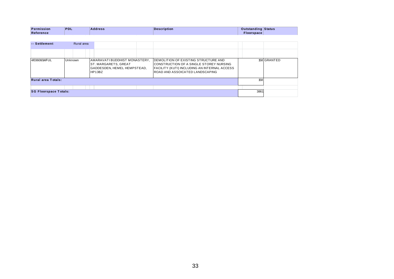| Permission | <b>PDL</b><br><b>Service Service</b> | <b>Address</b><br>. | Description | <b>Outstanding Status</b> |  |
|------------|--------------------------------------|---------------------|-------------|---------------------------|--|
| Reference  |                                      |                     |             | Floorspace                |  |

| Permission<br>Reference      | <b>PDL</b> | <b>Address</b>                                                                                 |  | <b>Description</b>                                                                                                                                                 | <b>Outstanding Status</b><br>Floorspace |             |
|------------------------------|------------|------------------------------------------------------------------------------------------------|--|--------------------------------------------------------------------------------------------------------------------------------------------------------------------|-----------------------------------------|-------------|
|                              |            |                                                                                                |  |                                                                                                                                                                    |                                         |             |
| -- Settlement                | Rural area |                                                                                                |  |                                                                                                                                                                    |                                         |             |
|                              |            |                                                                                                |  |                                                                                                                                                                    |                                         |             |
| 4/03608/14/FUL               | Unknown    | AMARAVATI BUDDHIST MONASTERY,<br>ST. MARGARETS, GREAT<br>GADDESDEN, HEMEL HEMPSTEAD,<br>HP13BZ |  | DEMOLITION OF EXISTING STRUCTURE AND<br>CONSTRUCTION OF A SINGLE STOREY NURSING<br>FACILITY (KUTI) INCLUDING AN INTERNAL ACCESS<br>ROAD AND ASSOICATED LANDSCAPING |                                         | 158 GRANTED |
| <b>Rural area Totals:</b>    |            |                                                                                                |  |                                                                                                                                                                    | 158                                     |             |
|                              |            |                                                                                                |  |                                                                                                                                                                    |                                         |             |
| <b>SG Floorspace Totals:</b> |            |                                                                                                |  |                                                                                                                                                                    | 3861                                    |             |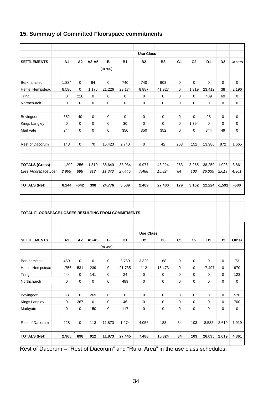#### **15. Summary of Committed Floorspace commitments**

|                                                    |                                  |                    |             |                                  |             | <b>Use Class</b> |                          |                |                                  |                |                |                    |
|----------------------------------------------------|----------------------------------|--------------------|-------------|----------------------------------|-------------|------------------|--------------------------|----------------|----------------------------------|----------------|----------------|--------------------|
| <b>SETTLEMENTS</b>                                 | A <sub>1</sub>                   | A2                 | A3-A5       | в                                | <b>B1</b>   | <b>B2</b>        | <b>B8</b>                | C <sub>1</sub> | C <sub>2</sub>                   | D <sub>1</sub> | D <sub>2</sub> | <b>Others</b>      |
|                                                    |                                  |                    |             | (mixed)                          |             |                  |                          |                |                                  |                |                |                    |
|                                                    |                                  |                    |             |                                  |             |                  |                          |                |                                  |                |                |                    |
| Berkhamsted                                        | 1,884                            | 0                  | 64          | $\mathbf 0$                      | 740         | 740              | 903                      | 0              | 0                                | $\Omega$       | 0              | $\mathbf 0$        |
| Hemel Hempstead                                    | 8,586                            | 0                  | 1,176       | 21,226                           | 29,174      | 8,887            | 41,927                   | 0              | 1,319                            | 23,412         | 38             | 2,196              |
| Tring                                              | 0                                | 216                | 0           | $\mathbf 0$                      | 0           | 0                | 0                        | $\Omega$       | 0                                | 489            | 69             | 0                  |
| Northchurch                                        | 0                                | 0                  | 0           | $\mathbf 0$                      | 0           | $\mathbf 0$      | 0                        | 0              | 0                                | 0              | $\mathbf 0$    | 0                  |
| Bovingdon                                          | 352                              | 40                 | 0           | 0                                | $\mathbf 0$ | $\Omega$         | 0                        | 0              | 0                                | 28             | 0              | 0                  |
| Kings Langley                                      | $\mathbf 0$                      | 0                  | 0           | $\mathbf 0$                      | 30          | $\mathbf 0$      | 0                        | 0              | 1,794                            | 0              | $\mathbf 0$    | 0                  |
| Markyate                                           | 244                              | 0                  | 0           | $\mathbf 0$                      | 350         | 350              | 352                      | 0              | 0                                | 344            | 49             | 0                  |
| Rest of Dacorum                                    | 143                              | 0                  | 70          | 15,423                           | 2,740       | $\mathbf 0$      | 42                       | 263            | 152                              | 13,986         | 872            | 1,665              |
|                                                    |                                  |                    |             |                                  |             |                  |                          |                |                                  |                |                |                    |
| <b>TOTALS (Gross)</b>                              | 11.209                           | 256                | 1,310       | 36,649                           | 33,034      | 9,977            | 43,224                   | 263            | 3,265                            | 38,259         | 1,028          | 3,861              |
| Less Floorspace Lost                               | 2,965                            | 898                | 912         | 11,873                           | 27,445      | 7,488            | 15,824                   | 84             | 103                              | 26,035         | 2,619          | 4,361              |
| <b>TOTALS (Net)</b>                                | 8,244                            | $-642$             | 398         | 24,776                           | 5,589       | 2,489            | 27,400                   | 179            | 3,162                            | 12,224         | $-1,591$       | $-500$             |
| TOTAL FLOORSPACE LOSSES RESULTING FROM COMMITMENTS |                                  |                    |             |                                  |             |                  |                          |                |                                  |                |                |                    |
|                                                    |                                  |                    |             |                                  |             |                  |                          |                |                                  |                |                |                    |
|                                                    |                                  |                    |             |                                  |             | <b>Use Class</b> |                          |                |                                  |                |                |                    |
| <b>SETTLEMENTS</b>                                 | A <sub>1</sub>                   | A2                 | A3-A5       | в                                | <b>B1</b>   | <b>B2</b>        | <b>B8</b>                | C <sub>1</sub> | C <sub>2</sub>                   | D <sub>1</sub> |                |                    |
|                                                    |                                  |                    |             |                                  |             |                  |                          |                |                                  |                | D <sub>2</sub> | Other              |
|                                                    |                                  |                    |             | (mixed)                          |             |                  |                          |                |                                  |                |                |                    |
| Berkhamsted                                        | 469                              | 0                  | $\mathbf 0$ | $\mathbf 0$                      | 3,760       | 3,320            | 168                      | $\mathsf 0$    | $\mathsf 0$                      | $\mathbf 0$    | $\mathsf 0$    | 73                 |
| Hemel Hempstead                                    | 1,756                            | 531                | 239         | $\mathbf 0$                      | 21,735      | 112              | 15,473                   | $\mathsf 0$    | 0                                | 17,497         | $\pmb{0}$      | 970                |
| Tring                                              | 444                              | $\mathsf 0$        | 141         | $\mathbf 0$                      | 24          | $\mathbf 0$      | $\pmb{0}$                | $\mathsf 0$    | $\pmb{0}$                        | $\pmb{0}$      | $\pmb{0}$      | 123                |
| Northchurch                                        | $\mathbf 0$                      | 0                  | 0           | $\mathbf 0$                      | 489         | $\mathbf 0$      | 0                        | $\mathsf 0$    | 0                                | $\pmb{0}$      | $\pmb{0}$      | $\pmb{0}$          |
|                                                    |                                  |                    | 269         | $\mathbf 0$                      | $\mathbf 0$ | $\mathbf 0$      | $\mathbf 0$              | $\mathsf 0$    | 0                                | $\pmb{0}$      | $\pmb{0}$      |                    |
| Bovingdon<br><b>Kings Langley</b>                  | 68                               | 0                  | $\mathbf 0$ |                                  | 46          | $\mathbf 0$      |                          | $\mathsf 0$    |                                  | $\mathbf 0$    | $\pmb{0}$      | 576                |
| Markyate                                           | $\pmb{0}$<br>$\mathsf{O}\xspace$ | 367<br>$\mathsf 0$ | 150         | $\pmb{0}$<br>$\mathsf{O}\xspace$ | 117         | $\mathbf 0$      | $\pmb{0}$<br>$\mathbf 0$ | $\mathsf 0$    | $\pmb{0}$<br>$\mathsf{O}\xspace$ | $\pmb{0}$      | $\mathsf 0$    | 700<br>$\mathsf 0$ |
| Rest of Dacorum                                    | 228                              | $\mathsf 0$        | 113         | 11,873                           | 1,274       | 4,056            | 183                      | 84             | 103                              | 8,538          | 2,619          | 1,919              |

Rest of Dacorum = "Rest of Dacorum" and "Rural Area" in the use class schedules.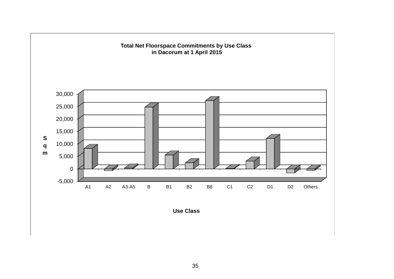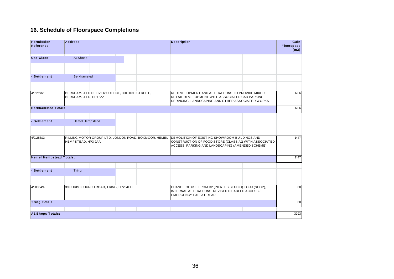#### **16. Schedule of Floorspace Completions**

| 16. Schedule of Floorspace Completions |                                      |                    |                                               |  |  |                                                      |                                                                                                                                                             |      |  |                                   |
|----------------------------------------|--------------------------------------|--------------------|-----------------------------------------------|--|--|------------------------------------------------------|-------------------------------------------------------------------------------------------------------------------------------------------------------------|------|--|-----------------------------------|
| Permission<br>Reference                | <b>Address</b>                       |                    |                                               |  |  |                                                      | <b>Description</b>                                                                                                                                          |      |  | Gain<br><b>Floorspace</b><br>(m2) |
| <b>Use Class</b>                       |                                      | A1Shops            |                                               |  |  |                                                      |                                                                                                                                                             |      |  |                                   |
| - Settlement                           |                                      | <b>Berkhamsted</b> |                                               |  |  |                                                      |                                                                                                                                                             |      |  |                                   |
| 4/01211/12                             | BERKHAMSTED, HP4 1ZZ                 |                    | BERKHAMSTED DELIVERY OFFICE, 300 HIGH STREET, |  |  |                                                      | REDEVELOPMENT AND ALTERATIONS TO PROVIDE MIXED<br>RETAIL DEVELOPMENT WITH ASSOCIATED CAR PARKING,<br>SERVICING, LANDSCAPING AND OTHER ASSOCIATED WORKS      | 1786 |  |                                   |
| <b>Berkhamsted Totals:</b>             |                                      |                    |                                               |  |  |                                                      |                                                                                                                                                             |      |  | 1786                              |
| - Settlement                           |                                      | Hemel Hempstead    |                                               |  |  |                                                      |                                                                                                                                                             |      |  |                                   |
| 4/01356/13                             | HEMPSTEAD, HP3 9AA                   |                    |                                               |  |  | PILLING MOTOR GROUP LTD, LONDON ROAD, BOXMOOR, HEMEL | DEMOLITION OF EXISTING SHOW ROOM BUILDINGS AND<br>CONSTRUCTION OF FOOD STORE (CLASS A1) WITH ASSOCIATED<br>ACCESS, PARKING AND LANDSCAPING (AMENDED SCHEME) |      |  | 1447                              |
| <b>Hemel Hempstead Totals:</b>         |                                      |                    |                                               |  |  |                                                      |                                                                                                                                                             |      |  | 1447                              |
| - Settlement                           | Tring                                |                    |                                               |  |  |                                                      |                                                                                                                                                             |      |  |                                   |
|                                        |                                      |                    |                                               |  |  |                                                      |                                                                                                                                                             |      |  |                                   |
| 4/00064/12                             | 39 CHRISTCHURCH ROAD, TRING, HP234EH |                    |                                               |  |  |                                                      | CHANGE OF USE FROM D2 (PILATES STUDIO) TO A1 (SHOP),<br>INTERNAL ALTERATIONS, REVISED DISABLED ACCESS /<br><b>EMERGENCY EXIT AT REAR</b>                    |      |  | 60                                |
| <b>Tring Totals:</b>                   |                                      |                    |                                               |  |  |                                                      |                                                                                                                                                             |      |  | 60                                |
| <b>A1 Shops Totals:</b>                |                                      |                    |                                               |  |  |                                                      |                                                                                                                                                             |      |  | 3293                              |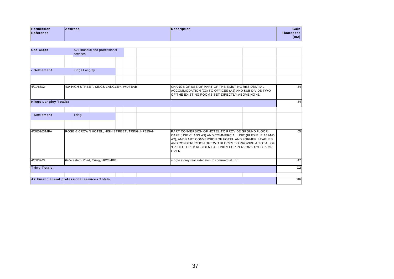| Permission | <b>Address</b> | <b>Description</b> | Gain        |
|------------|----------------|--------------------|-------------|
| Reference  |                |                    | Floorspace: |
|            |                |                    | (m2)        |
|            |                |                    |             |

| <b>Use Class</b>             | A2 Financial and professional<br>services       |                                                                                                                                                               |                                                                                                                                                                                                                                                                                                     |     |
|------------------------------|-------------------------------------------------|---------------------------------------------------------------------------------------------------------------------------------------------------------------|-----------------------------------------------------------------------------------------------------------------------------------------------------------------------------------------------------------------------------------------------------------------------------------------------------|-----|
|                              |                                                 |                                                                                                                                                               |                                                                                                                                                                                                                                                                                                     |     |
| - Settlement                 | <b>Kings Langley</b>                            |                                                                                                                                                               |                                                                                                                                                                                                                                                                                                     |     |
|                              |                                                 |                                                                                                                                                               |                                                                                                                                                                                                                                                                                                     |     |
| 4/01783/12                   | 41A HIGH STREET, KINGS LANGLEY, WD4 8AB         | CHANGE OF USE OF PART OF THE EXISTING RESIDENTIAL<br>ACCOMMODATION (C3) TO OFFICES (A2) AND SUB DIVIDE TWO<br>OF THE EXISTING ROOMS SET DIRECTLY ABOVE NO 41. | 34                                                                                                                                                                                                                                                                                                  |     |
| <b>Kings Langley Totals:</b> |                                                 |                                                                                                                                                               |                                                                                                                                                                                                                                                                                                     | 34  |
|                              |                                                 |                                                                                                                                                               |                                                                                                                                                                                                                                                                                                     |     |
| <b>Settlement</b>            | Tring                                           |                                                                                                                                                               |                                                                                                                                                                                                                                                                                                     |     |
|                              |                                                 |                                                                                                                                                               |                                                                                                                                                                                                                                                                                                     |     |
| 4/00102/13/MFA               | ROSE & CROWN HOTEL, HIGH STREET, TRING, HP235AH |                                                                                                                                                               | PART CONVERSION OF HOTEL TO PROVIDE GROUND FLOOR<br>CAFE (USE CLASS A3) AND COMMERCIAL UNIT (FLEXIBLE A1AND<br>A2), AND PART CONVERSION OF HOTEL AND FORMER STABLES<br>AND CONSTRUCTION OF TWO BLOCKS TO PROVIDE A TOTAL OF<br>35 SHELTERED RESIDENTIAL UNITS FOR PERSONS AGED 55 OR<br><b>OVER</b> | 65  |
| 4/01832/13                   | 64 Western Road, Tring, HP23 4BB                |                                                                                                                                                               | single storey rear extension to commercial unit                                                                                                                                                                                                                                                     | 47  |
| <b>Tring Totals:</b>         |                                                 |                                                                                                                                                               |                                                                                                                                                                                                                                                                                                     | 112 |
|                              |                                                 |                                                                                                                                                               |                                                                                                                                                                                                                                                                                                     |     |
|                              | A2 Financial and professional services Totals:  |                                                                                                                                                               |                                                                                                                                                                                                                                                                                                     | 146 |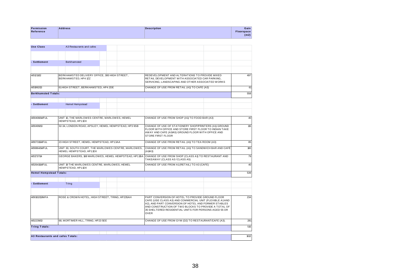| Permission | <b>Address</b> | <b>Description</b> | Gain              |
|------------|----------------|--------------------|-------------------|
| Reference  |                |                    | <b>Floorspace</b> |
|            |                |                    | (m2)              |
|            |                |                    |                   |

| <b>Use Class</b>               |                                                                       | A3 Restaurants and cafes                                                        |  |                                                                                                                                                                                                                                                                                                     |                                                      |                                                                                      |     |  |      |
|--------------------------------|-----------------------------------------------------------------------|---------------------------------------------------------------------------------|--|-----------------------------------------------------------------------------------------------------------------------------------------------------------------------------------------------------------------------------------------------------------------------------------------------------|------------------------------------------------------|--------------------------------------------------------------------------------------|-----|--|------|
|                                |                                                                       |                                                                                 |  |                                                                                                                                                                                                                                                                                                     |                                                      |                                                                                      |     |  |      |
| - Settlement                   | Berkhamsted                                                           |                                                                                 |  |                                                                                                                                                                                                                                                                                                     |                                                      |                                                                                      |     |  |      |
| 4/01211/12                     | BERKHAMSTED DELIVERY OFFICE, 300 HIGH STREET,<br>BERKHAMSTED, HP4 1ZZ |                                                                                 |  | REDEVELOPMENT AND ALTERATIONS TO PROVIDE MIXED<br>RETAIL DEVELOPMENT WITH ASSOCIATED CAR PARKING.<br>SERVICING, LANDSCAPING AND OTHER ASSOCIATED WORKS                                                                                                                                              |                                                      | 497                                                                                  |     |  |      |
| 4/01992/13                     |                                                                       | 61HIGH STREET, BERKHAMSTED, HP4 2DE                                             |  |                                                                                                                                                                                                                                                                                                     |                                                      | CHANGE OF USE FROM RETAIL (A1) TO CAFE (A3)                                          |     |  | 61   |
| <b>Berkhamsted Totals:</b>     |                                                                       |                                                                                 |  |                                                                                                                                                                                                                                                                                                     |                                                      |                                                                                      |     |  | 558  |
|                                |                                                                       |                                                                                 |  |                                                                                                                                                                                                                                                                                                     |                                                      |                                                                                      |     |  |      |
| - Settlement                   | <b>Hemel Hempstead</b>                                                |                                                                                 |  |                                                                                                                                                                                                                                                                                                     |                                                      |                                                                                      |     |  |      |
|                                |                                                                       |                                                                                 |  |                                                                                                                                                                                                                                                                                                     |                                                      |                                                                                      |     |  |      |
| 4/00408/14/FUL                 | HEMPSTEAD, HP11DX                                                     | UNIT 10, THE MARLOWES CENTRE, MARLOWES, HEMEL                                   |  |                                                                                                                                                                                                                                                                                                     |                                                      | CHANGE OF USE FROM SHOP (A1) TO FOOD BAR (A3)                                        |     |  | 40   |
| 4/00499/13                     | 32-34, LONDON ROAD, APSLEY, HEMEL HEMPSTEAD, HP3 9SB                  |                                                                                 |  | CHANGE OF USE OF STATIONERY SHOP/PRINTERS (A1) GROUND<br>FLOOR WITH OFFICE AND STORE FIRST FLOOR TO INDIAN TAKE<br>AWAY AND CAFE (A3/A5) GROUND FLOOR WITH OFFICE AND<br><b>STORE FIRST FLOOR</b>                                                                                                   |                                                      |                                                                                      | 115 |  |      |
| 4/00731/14/FUL                 | 23 HIGH STREET, HEMEL HEMPSTEAD, HP13AA                               |                                                                                 |  | CHANGE OF USE FROM RETAIL (A1) TO TEA ROOM (A3)                                                                                                                                                                                                                                                     |                                                      |                                                                                      | 85  |  |      |
| 4/00864/14/FUL                 |                                                                       | UNIT 30, SOUTH COURT, THE MARLOWES CENTRE, MARLOWES,<br>HEMEL HEMPSTEAD, HP11DX |  |                                                                                                                                                                                                                                                                                                     |                                                      | CHANGE OF USE FROM RETAIL (A1) TO SANDWICH BAR AND CAFÉ<br>$(A \text{ V} A 3)$       |     |  | 180  |
| 4/01737/14                     |                                                                       |                                                                                 |  |                                                                                                                                                                                                                                                                                                     | GEORGE BAKERS, 168 MARLOWES, HEMEL HEMPSTEAD, HP11BA | CHANGE OF USE FROM SHOP (CLASS A1) TO RESTAURANT AND<br>TAKEAWAY (CLASS A3/CLASS A5) |     |  | 79   |
| 4/02641/14/FUL                 | HEMPSTEAD, HP11DX                                                     | UNIT 19 THE MARLOWES CENTRE, MARLOWES, HEMEL                                    |  |                                                                                                                                                                                                                                                                                                     |                                                      | CHANGE OF USE FROM A1 (RETAIL) TO A3 (CAFE)                                          |     |  | 40   |
| <b>Hemel Hempstead Totals:</b> |                                                                       |                                                                                 |  |                                                                                                                                                                                                                                                                                                     |                                                      |                                                                                      |     |  | 539  |
| - Settlement                   | Tring                                                                 |                                                                                 |  |                                                                                                                                                                                                                                                                                                     |                                                      |                                                                                      |     |  |      |
|                                |                                                                       |                                                                                 |  |                                                                                                                                                                                                                                                                                                     |                                                      |                                                                                      |     |  |      |
| 4/00102/13/MFA                 | ROSE & CROWN HOTEL, HIGH STREET, TRING, HP235AH                       |                                                                                 |  | PART CONVERSION OF HOTEL TO PROVIDE GROUND FLOOR<br>CAFE (USE CLASS A3) AND COMMERCIAL UNIT (FLEXIBLE A1AND<br>A2), AND PART CONVERSION OF HOTEL AND FORMER STABLES<br>AND CONSTRUCTION OF TWO BLOCKS TO PROVIDE A TOTAL OF<br>35 SHELTERED RESIDENTIAL UNITS FOR PERSONS AGED 55 OR<br><b>OVER</b> |                                                      |                                                                                      | 234 |  |      |
| 4/02239/13                     |                                                                       | 68, MORTIMER HILL, TRING, HP23 5EE                                              |  |                                                                                                                                                                                                                                                                                                     |                                                      | CHANGE OF USE FROM GYM (D2) TO RESTAURANT/CAFE (A3).                                 |     |  | 281  |
| <b>Tring Totals:</b>           |                                                                       |                                                                                 |  |                                                                                                                                                                                                                                                                                                     |                                                      |                                                                                      |     |  | 515  |
|                                | A3 Restaurants and cafes Totals:                                      |                                                                                 |  |                                                                                                                                                                                                                                                                                                     |                                                      |                                                                                      |     |  | 1612 |
|                                |                                                                       |                                                                                 |  |                                                                                                                                                                                                                                                                                                     |                                                      |                                                                                      |     |  |      |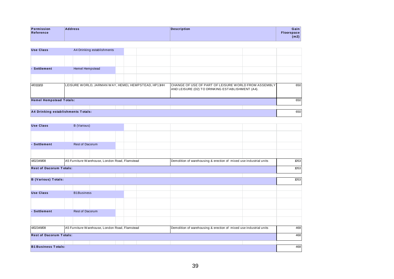| <b>Permission</b> | <b>Address</b>                                                                                                                                                                                                                         | Description | Gain        |
|-------------------|----------------------------------------------------------------------------------------------------------------------------------------------------------------------------------------------------------------------------------------|-------------|-------------|
| Reference         |                                                                                                                                                                                                                                        |             | Floorspace∣ |
|                   | the control of the control of the control of the control of the control of the control of the control of the control of the control of the control of the control of the control of the control of the control of the control<br>_____ | _____       | (m2)        |

| <b>Use Class</b>                   |                                                    |                 | A4 Drinking establishments |  |                                                                                                          |  |     |  |  |
|------------------------------------|----------------------------------------------------|-----------------|----------------------------|--|----------------------------------------------------------------------------------------------------------|--|-----|--|--|
|                                    |                                                    |                 |                            |  |                                                                                                          |  |     |  |  |
| - Settlement                       |                                                    | Hemel Hempstead |                            |  |                                                                                                          |  |     |  |  |
|                                    |                                                    |                 |                            |  |                                                                                                          |  |     |  |  |
| 4/01111/13                         | LEISURE WORLD, JARMAN WAY, HEMEL HEMPSTEAD, HP11HH |                 |                            |  | CHANGE OF USE OF PART OF LEISURE WORLD FROM ASSEMBLY<br>AND LEISURE (D2) TO DRINKING ESTABLISHMENT (A4). |  | 650 |  |  |
| <b>Hemel Hempstead Totals:</b>     |                                                    |                 |                            |  |                                                                                                          |  | 650 |  |  |
|                                    |                                                    |                 |                            |  |                                                                                                          |  |     |  |  |
| A4 Drinking establishments Totals: |                                                    |                 |                            |  |                                                                                                          |  | 650 |  |  |

| <b>Use Class</b>               | B (Various)                                    |                                                                    |      |
|--------------------------------|------------------------------------------------|--------------------------------------------------------------------|------|
|                                |                                                |                                                                    |      |
| - Settlement                   | <b>Rest of Dacorum</b>                         |                                                                    |      |
|                                |                                                |                                                                    |      |
| 4/02349/08                     | A5 Furniture Warehouse, London Road, Flamstead | Demolition of warehousing & erection of mixed use industrial units | 1053 |
| <b>Rest of Dacorum Totals:</b> |                                                |                                                                    | 1053 |
| <b>B</b> (Various) Totals:     |                                                |                                                                    | 1053 |
|                                |                                                |                                                                    |      |
| <b>Use Class</b>               | <b>B1Business</b>                              |                                                                    |      |
|                                |                                                |                                                                    |      |
| - Settlement                   | Rest of Dacorum                                |                                                                    |      |
|                                |                                                |                                                                    |      |
| 4/02349/08                     | A5 Furniture Warehouse, London Road, Flamstead | Demolition of warehousing & erection of mixed use industrial units | 468  |
| <b>Rest of Dacorum Totals:</b> |                                                |                                                                    | 468  |
|                                |                                                |                                                                    |      |
| <b>B1 Business Totals:</b>     |                                                |                                                                    | 468  |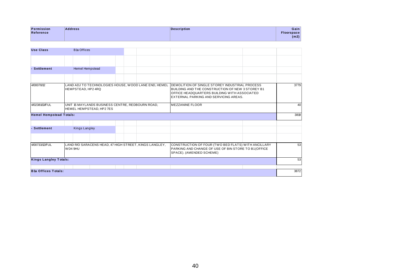| <b>Permission</b> | <b>Address</b>                                                                                                                                                                                                                                  | <b>Description</b> | Gain        |
|-------------------|-------------------------------------------------------------------------------------------------------------------------------------------------------------------------------------------------------------------------------------------------|--------------------|-------------|
| Reference         |                                                                                                                                                                                                                                                 |                    | Floorspace⊹ |
|                   | the control of the control of the control of the control of the control of the control of the control of the control of the control of the control of the control of the control of the control of the control of the control<br>_____<br>_____ | ______             | (m2)        |

| <b>Use Class</b>               | <b>B</b> 1a Offices                                                                                                                                                                                          |                                                      |                                                                                                                                                                                                     |      |  |
|--------------------------------|--------------------------------------------------------------------------------------------------------------------------------------------------------------------------------------------------------------|------------------------------------------------------|-----------------------------------------------------------------------------------------------------------------------------------------------------------------------------------------------------|------|--|
|                                |                                                                                                                                                                                                              |                                                      |                                                                                                                                                                                                     |      |  |
| - Settlement                   | Hemel Hempstead                                                                                                                                                                                              |                                                      |                                                                                                                                                                                                     |      |  |
|                                |                                                                                                                                                                                                              |                                                      |                                                                                                                                                                                                     |      |  |
| 4/00078/12                     | HEMPSTEAD, HP2 4RQ                                                                                                                                                                                           | LAND ADJ TO TECHNOLOGIES HOUSE, WOOD LANE END, HEMEL | <b>IDEMOLITION OF SINGLE STOREY INDUSTRIAL PROCESS</b><br>BUILDING AND THE CONSTRUCTION OF NEW 3 STOREY B1<br>OFFICE HEADQUARTERS BUILDING WITH ASSOCIATED<br>EXTERNAL PARKING AND SERVICING AREAS. | 3779 |  |
| 4/02381/13/FUL                 | UNIT 15 MAYLANDS BUSINESS CENTRE, REDBOURN ROAD,<br><b>MEZZANINE FLOOR</b><br>HEMEL HEMPSTEAD. HP2 7ES                                                                                                       |                                                      |                                                                                                                                                                                                     |      |  |
| <b>Hemel Hempstead Totals:</b> |                                                                                                                                                                                                              |                                                      |                                                                                                                                                                                                     | 3819 |  |
| - Settlement                   | Kings Langley                                                                                                                                                                                                |                                                      |                                                                                                                                                                                                     |      |  |
|                                |                                                                                                                                                                                                              |                                                      |                                                                                                                                                                                                     |      |  |
| 4/00733/12/FUL                 | CONSTRUCTION OF FOUR (TWO BED FLATS) WITH ANCILLARY<br>LAND R/O SARACENS HEAD, 47 HIGH STREET, KINGS LANGLEY,<br>PARKING AND CHANGE OF USE OF BIN STORE TO B1 (OFFICE<br>WD4 9HU<br>SPACE). (AMENDED SCHEME) |                                                      |                                                                                                                                                                                                     |      |  |
| <b>Kings Langley Totals:</b>   |                                                                                                                                                                                                              |                                                      |                                                                                                                                                                                                     | 53   |  |
| <b>B1a Offices Totals:</b>     |                                                                                                                                                                                                              |                                                      |                                                                                                                                                                                                     | 3872 |  |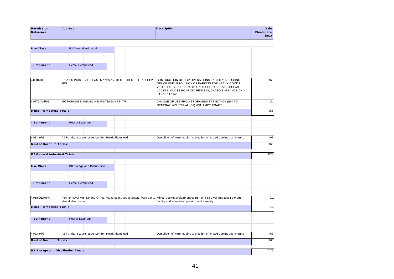| Permission | <b>Address</b> | <b>Description</b> | Gainl            |
|------------|----------------|--------------------|------------------|
| Reference  |                |                    | <b>loorspace</b> |
|            |                |                    | (m2)             |
|            |                |                    |                  |

| <b>Use Class</b>                     | <b>B2 General industrial</b>                                                                                                                |                                                                                                                                                                                                                      |
|--------------------------------------|---------------------------------------------------------------------------------------------------------------------------------------------|----------------------------------------------------------------------------------------------------------------------------------------------------------------------------------------------------------------------|
| - Settlement                         | Hemel Hempstead                                                                                                                             |                                                                                                                                                                                                                      |
|                                      |                                                                                                                                             |                                                                                                                                                                                                                      |
|                                      |                                                                                                                                             |                                                                                                                                                                                                                      |
| 4/02017/11                           | EX AXIS POINT SITE, EASTMAN WAY, HEMEL HEMPSTEAD, HP2<br>7FN<br>LANDSCAPING.                                                                | CONTRUCTION OF HGV OPERATIONS FACILITY INCLUDING<br>465<br>OFFICE UNIT, PROVISION OF PARKING FOR HEAVY GOODS<br>VEHICLES, SKIP STORAGE AREA, UPGRADED VEHICULAR<br>ACCESS, CLOSE BOARDED FENCING, GATED ENTRANCE AND |
| 4/02763/14/FUL                       | 909 PARADISE, HEMEL HEMPSTEAD, HP2 4TF<br>GENERAL INDUSTRIAL (B2) WITH MOT USAGE                                                            | CHANGE OF USE FROM STORAGE/DISTRIBUTION (B8) TO<br>391                                                                                                                                                               |
| <b>Hemel Hempstead Totals:</b>       |                                                                                                                                             | 856                                                                                                                                                                                                                  |
| - Settlement                         | <b>Rest of Dacorum</b>                                                                                                                      |                                                                                                                                                                                                                      |
|                                      |                                                                                                                                             |                                                                                                                                                                                                                      |
| 4/02349/08                           | A5 Furniture Warehouse, London Road, Flamstead                                                                                              | Demolition of warehousing & erection of mixed use industrial units<br>468                                                                                                                                            |
| <b>Rest of Dacorum Totals:</b>       |                                                                                                                                             | 468                                                                                                                                                                                                                  |
| <b>B2 General industrial Totals:</b> |                                                                                                                                             | 1324                                                                                                                                                                                                                 |
|                                      |                                                                                                                                             |                                                                                                                                                                                                                      |
| <b>Use Class</b>                     | <b>B8 Storage and Distribution</b>                                                                                                          |                                                                                                                                                                                                                      |
| - Settlement                         | Hemel Hempstead                                                                                                                             |                                                                                                                                                                                                                      |
|                                      |                                                                                                                                             |                                                                                                                                                                                                                      |
| 4/01450/12/MFA                       | Former Royal Mail Sorting Office, Paradise Industrial Estate, Park Lane,<br>facility and associated parking and amenity<br>Hemel Hempdstead | Mixed Use redevelopment comprising 86 dwellings a self storage<br>7011                                                                                                                                               |
| <b>Hemel Hempstead Totals:</b>       |                                                                                                                                             | 7011                                                                                                                                                                                                                 |
| - Settlement                         | <b>Rest of Dacorum</b>                                                                                                                      |                                                                                                                                                                                                                      |
|                                      |                                                                                                                                             |                                                                                                                                                                                                                      |
| 4/02349/08                           | A5 Furniture Warehouse, London Road, Flamstead                                                                                              | Demolition of warehousing & erection of mixed use industrial units<br>468                                                                                                                                            |
| <b>Rest of Dacorum Totals:</b>       |                                                                                                                                             | 468                                                                                                                                                                                                                  |
|                                      | <b>B8 Storage and Distribution Totals:</b>                                                                                                  | 7479                                                                                                                                                                                                                 |
|                                      |                                                                                                                                             |                                                                                                                                                                                                                      |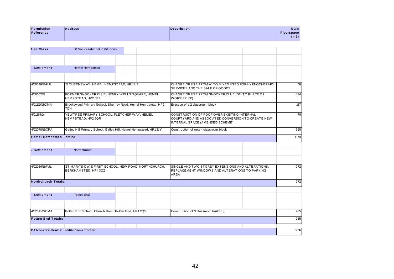| Permission | <b>Address</b> | <b>Description</b> | Gain       |
|------------|----------------|--------------------|------------|
| Reference  |                |                    | Floorspace |
|            |                |                    | (m2)       |
|            |                |                    |            |

| <b>Use Class</b>               | D1 Non-residential institutions                                                                                                                                                                          |  |  |                                                                                                             |  |      |
|--------------------------------|----------------------------------------------------------------------------------------------------------------------------------------------------------------------------------------------------------|--|--|-------------------------------------------------------------------------------------------------------------|--|------|
|                                |                                                                                                                                                                                                          |  |  |                                                                                                             |  |      |
| - Settlement                   | <b>Hemel Hempstead</b>                                                                                                                                                                                   |  |  |                                                                                                             |  |      |
|                                |                                                                                                                                                                                                          |  |  |                                                                                                             |  |      |
| 4/00348/14/FUL                 | 15 QUEENSWAY, HEMEL HEMPSTEAD, HP11LS                                                                                                                                                                    |  |  | CHANGE OF USE FROM A1TO MIXED USES FOR HYPNOTHERAPY<br>SERVICES AND THE SALE OF GOODS                       |  | 58   |
| 4/00562/13                     | FORMER SNOOKER CLUB, HENRY WELLS SQUARE, HEMEL<br>HEMPSTEAD, HP2 6BJ                                                                                                                                     |  |  | CHANGE OF USE FROM SNOOKER CLUB (D2) TO PLACE OF<br>WORSHIP (D1)                                            |  |      |
| 4/01210/13/CMA                 | Brockswood Primary School, Shenley Road, Hemel Hempstead, HP2<br>7QH                                                                                                                                     |  |  | Erection of a 2 classroom block                                                                             |  | 157  |
| 4/01267/14                     | YEWTREE PRIMARY SCHOOL, FLETCHER WAY, HEMEL<br>CONSTRUCTION OF ROOF OVER EXISTING INTERNAL<br>COURTYARD AND ASSOCIATED CONVERSION TO CREATE NEW<br>HEMPSTEAD, HP2 5QR<br>INTERNAL SPACE (AMENDED SCHEME) |  |  |                                                                                                             |  |      |
| 4/02078/13/CPA                 | Galley Hill Primary School, Galley Hill, Hemel Hempstead, HP13JY<br>Construction of new 4 classroom block                                                                                                |  |  |                                                                                                             |  | 360  |
| <b>Hemel Hempstead Totals:</b> |                                                                                                                                                                                                          |  |  |                                                                                                             |  | 1079 |
| - Settlement                   | Northchurch                                                                                                                                                                                              |  |  |                                                                                                             |  |      |
|                                |                                                                                                                                                                                                          |  |  |                                                                                                             |  |      |
| 4/02036/13/FUL                 | ST MARY'S C of E FIRST SCHOOL, NEW ROAD, NORTHCHURCH,<br>BERKHAMSTED, HP4 3QZ                                                                                                                            |  |  | SINGLE AND TWO STOREY EXTENSIONS AND ALTERATIONS.<br>REPLACEMENT WINDOWS AND ALTERATIONS TO PARKING<br>AREA |  | 272  |
| Northchurch Totals:            |                                                                                                                                                                                                          |  |  |                                                                                                             |  | 272  |
| - Settlement                   | Potten End                                                                                                                                                                                               |  |  |                                                                                                             |  |      |
|                                |                                                                                                                                                                                                          |  |  |                                                                                                             |  |      |
| 4/02016/13/CMA                 | Potten End School, Church Road, Potten End, HP4 2QY                                                                                                                                                      |  |  | Construction of 3 classroom building                                                                        |  | 265  |
| <b>Potten End Totals:</b>      |                                                                                                                                                                                                          |  |  |                                                                                                             |  | 265  |
|                                | D1 Non-residential institutions Totals:                                                                                                                                                                  |  |  |                                                                                                             |  | 1616 |
|                                |                                                                                                                                                                                                          |  |  |                                                                                                             |  |      |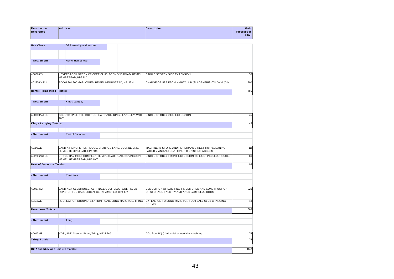| Permission<br>Reference        | <b>Address</b>                                                                                            |                                                        | <b>Description</b>                                                                                 | Gain<br>Floorspace<br>(m2) |
|--------------------------------|-----------------------------------------------------------------------------------------------------------|--------------------------------------------------------|----------------------------------------------------------------------------------------------------|----------------------------|
| <b>Use Class</b>               | D2 Assembly and leisure                                                                                   |                                                        |                                                                                                    |                            |
|                                |                                                                                                           |                                                        |                                                                                                    |                            |
| - Settlement                   | Hemel Hempstead                                                                                           |                                                        |                                                                                                    |                            |
|                                |                                                                                                           |                                                        |                                                                                                    |                            |
| 4/00668/13                     | HEMPSTEAD, HP3 8LJ                                                                                        | LEVERSTOCK GREEN CRICKET CLUB, BEDMOND ROAD, HEMEL     | SINGLE STOREY SIDE EXTENSION                                                                       | 55                         |
| 4/02236/14/FUL                 | ROOM 201, 200 MARLOWES, HEMEL HEMPSTEAD, HP11BH<br>CHANGE OF USE FROM NIGHTCLUB (SUI GENERIS) TO GYM (D2) |                                                        |                                                                                                    |                            |
| <b>Hemel Hempstead Totals:</b> |                                                                                                           |                                                        |                                                                                                    | 755                        |
|                                |                                                                                                           |                                                        |                                                                                                    |                            |
| - Settlement                   | Kings Langley                                                                                             |                                                        |                                                                                                    |                            |
| 4/00730/14/FUL                 |                                                                                                           | SCOUTS HALL, THE DRIFT, GREAT PARK, KINGS LANGLEY, WD4 | SINGLE-STOREY SIDE EXTENSION                                                                       | 45                         |
|                                | 9HT                                                                                                       |                                                        |                                                                                                    |                            |
| <b>Kings Langley Totals:</b>   |                                                                                                           |                                                        |                                                                                                    | 45                         |
|                                |                                                                                                           |                                                        |                                                                                                    |                            |
| - Settlement                   | Rest of Dacorum                                                                                           |                                                        |                                                                                                    |                            |
| 4/01962/12                     | HEMEL HEMPSTEAD, HP12RX                                                                                   | LAND AT KINGFISHER HOUSE, SHARPES LANE, BOURNE END,    | MACHINERY STORE AND FISHERMAN'S REST HUT/CLEANING<br>FACILITY AND ALTERATIONS TO EXISTING ACCESS   | 112                        |
| 4/02206/13/FUL                 | HEMEL HEMPSTEAD, HP3 0XT                                                                                  | LITTLE HAY GOLF COMPLEX, HEMPSTEAD ROAD, BOVINGDON,    | SINGLE-STOREY FRONT EXTENSION TO EXISTING CLUBHOUSE.                                               | 86                         |
| <b>Rest of Dacorum Totals:</b> |                                                                                                           |                                                        |                                                                                                    | 198                        |
| - Settlement                   | Rural area                                                                                                |                                                        |                                                                                                    |                            |
|                                |                                                                                                           |                                                        |                                                                                                    |                            |
| 4/00374/13                     | LAND ADJ. CLUBHOUSE, ASHRIDGE GOLF CLUB, GOLF CLUB<br>ROAD, LITTLE GADDESDEN, BERKHAMSTED, HP4 1LY        |                                                        | DEMOLITION OF EXISTING TIMBER SHED AND CONSTRUCTION<br>OF STORAGE FACILITY AND ANCILLARY CLUB ROOM | 320                        |
| 4/01487/10                     |                                                                                                           | RECREATION GROUND, STATION ROAD, LONG MARSTON, TRING   | EXTENSION TO LONG MARSTON FOOTBALL CLUB CHANGING<br><b>ROOMS</b>                                   | 48                         |
| Rural area Totals:             |                                                                                                           |                                                        |                                                                                                    | 368                        |
|                                |                                                                                                           |                                                        |                                                                                                    |                            |
| - Settlement                   | Tring                                                                                                     |                                                        |                                                                                                    |                            |
| 4/00471/13                     | YG31, 81-81 Akeman Street, Tring, HP23 6AJ                                                                |                                                        | COU from B1(c) industrial to martial arts training                                                 | 76                         |
| <b>Tring Totals:</b>           |                                                                                                           |                                                        |                                                                                                    | 76                         |
|                                |                                                                                                           |                                                        |                                                                                                    |                            |
|                                | D2 Assembly and leisure Totals:                                                                           |                                                        |                                                                                                    | 1442                       |
|                                |                                                                                                           |                                                        |                                                                                                    |                            |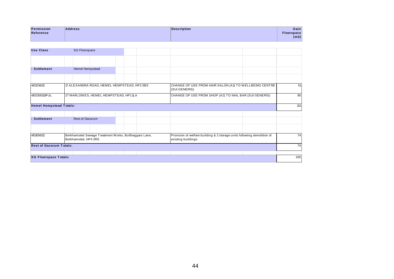| Permission | <b>Address</b> | <b>Description</b> | Gain              |
|------------|----------------|--------------------|-------------------|
| Reference  |                |                    | <b>Floorspace</b> |
|            |                |                    | (m2)              |

| <b>Use Class</b>               | <b>SG Floorspace</b>                                                                                                                                                           |  |                                                                         |     |  |  |  |
|--------------------------------|--------------------------------------------------------------------------------------------------------------------------------------------------------------------------------|--|-------------------------------------------------------------------------|-----|--|--|--|
|                                |                                                                                                                                                                                |  |                                                                         |     |  |  |  |
| <b>Settlement</b>              | Hemel Hempstead                                                                                                                                                                |  |                                                                         |     |  |  |  |
|                                |                                                                                                                                                                                |  |                                                                         |     |  |  |  |
| 4/01236/12                     | 17 ALEXANDRA ROAD, HEMEL HEMPSTEAD, HP2 5BS                                                                                                                                    |  | CHANGE OF USE FROM HAIR SALON (A1) TO WELLBEING CENTRE<br>(SUI GENERIS) | 51  |  |  |  |
| 4/02305/13/FUL                 | 27 MARLOWES, HEMEL HEMPSTEAD, HP11LA<br>CHANGE OF USE FROM SHOP (A2) TO NAIL BAR (SUI GENERIS)                                                                                 |  |                                                                         |     |  |  |  |
| <b>Hemel Hempstead Totals:</b> |                                                                                                                                                                                |  |                                                                         | 131 |  |  |  |
| <b>Settlement</b>              | Rest of Dacorum                                                                                                                                                                |  |                                                                         |     |  |  |  |
|                                |                                                                                                                                                                                |  |                                                                         |     |  |  |  |
| 4/01056/12                     | Berkhamsted Sewage Treatment Works, Bullbeggars Lane,<br>Provision of welfare building & 2 storage units following demolition of<br>Berkhamsted, HP4 2RS<br>existing buildings |  |                                                                         |     |  |  |  |
| <b>Rest of Dacorum Totals:</b> |                                                                                                                                                                                |  |                                                                         | 74  |  |  |  |
| <b>SG Floorspace Totals:</b>   |                                                                                                                                                                                |  |                                                                         | 205 |  |  |  |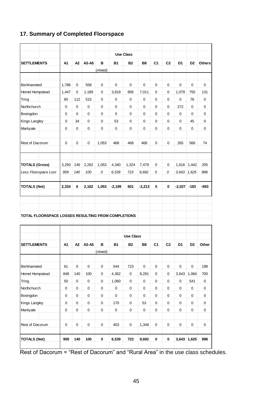## **17. Summary of Completed Floorspace**

|                                                    |                |                |             |                     |             | <b>Use Class</b> |           |                |                |                |                |               |
|----------------------------------------------------|----------------|----------------|-------------|---------------------|-------------|------------------|-----------|----------------|----------------|----------------|----------------|---------------|
| <b>SETTLEMENTS</b>                                 | A <sub>1</sub> | A <sub>2</sub> | A3-A5       | в                   | <b>B1</b>   | <b>B2</b>        | <b>B8</b> | C <sub>1</sub> | C <sub>2</sub> | D <sub>1</sub> | D <sub>2</sub> | <b>Others</b> |
|                                                    |                |                |             | (mixed)             |             |                  |           |                |                |                |                |               |
|                                                    |                |                |             |                     |             |                  |           |                |                |                |                |               |
| Berkhamsted                                        | 1,786          | 0              | 558         | 0                   | $\mathbf 0$ | 0                | 0         | 0              | 0              | 0              | 0              | 0             |
| Hemel Hempstead                                    | 1,447          | 0              | 1,189       | 0                   | 3,819       | 856              | 7,011     | 0              | 0              | 1,079          | 755            | 131           |
| Tring                                              | 60             | 112            | 515         | 0                   | $\mathbf 0$ | 0                | 0         | 0              | 0              | 0              | 76             | 0             |
| Northchurch                                        | 0              | 0              | 0           | 0                   | 0           | 0                | 0         | 0              | 0              | 272            | 0              | 0             |
| Bovingdon                                          | 0              | 0              | 0           | 0                   | $\Omega$    | 0                | 0         | 0              | $\Omega$       | 0              | $\Omega$       | 0             |
| Kings Langley                                      | 0              | 34             | 0           | 0                   | 53          | 0                | 0         | 0              | 0              | 0              | 45             | 0             |
| Markyate                                           | 0              | 0              | 0           | 0                   | 0           | 0                | 0         | 0              | 0              | 0              | 0              | 0             |
| Rest of Dacorum                                    | 0              | 0              | 0           | 1,053               | 468         | 468              | 468       | 0              | 0              | 265            | 566            | 74            |
| <b>TOTALS (Gross)</b>                              | 3,293          | 146            | 2,262       | 1,053               | 4,340       | 1,324            | 7,479     | 0              | 0              | 1,616          | 1,442          | 205           |
| Less Floorspace Lost                               | 959            | 140            | 100         | 0                   | 6,539       | 723              | 9,692     | 0              | 0              | 3,643          | 1,625          | 898           |
|                                                    |                |                |             |                     |             |                  |           |                |                |                |                |               |
|                                                    |                |                |             |                     |             |                  |           |                |                |                |                |               |
| <b>TOTALS (Net)</b>                                | 2,334          | 6              | 2,162       | 1,053               | $-2,199$    | 601              | $-2,213$  | $\mathbf 0$    | $\bf{0}$       | $-2,027$       | $-183$         | -693          |
| TOTAL FLOORSPACE LOSSES RESULTING FROM COMPLETIONS |                |                |             |                     |             |                  |           |                |                |                |                |               |
|                                                    |                |                |             |                     |             | <b>Use Class</b> |           |                |                |                |                |               |
| <b>SETTLEMENTS</b>                                 | A <sub>1</sub> | A2             | A3-A5       | в<br>(mixed)        | <b>B1</b>   | <b>B2</b>        | <b>B8</b> | C <sub>1</sub> | C <sub>2</sub> | D <sub>1</sub> | D <sub>2</sub> | Other         |
| Berkhamsted                                        | 61             | $\pmb{0}$      | $\pmb{0}$   | $\mathbf 0$         | 544         | 723              | $\pmb{0}$ | $\mathbf 0$    | $\mathbf 0$    | $\mathsf 0$    | $\mathbf 0$    | 198           |
| Hemel Hempstead                                    | 848            | 140            | 100         | 0                   | 4,362       | 0                | 8,291     | $\mathbf 0$    | $\mathbf 0$    | 3,643          | 1,084          | 700           |
| Tring                                              | 50             | $\pmb{0}$      | $\pmb{0}$   | $\mathsf 0$         | 1,060       | 0                | $\pmb{0}$ | $\mathbf 0$    | $\mathbf 0$    | 0              | 541            | $\mathbf 0$   |
| Northchurch                                        | 0              | 0              | $\mathsf 0$ | $\pmb{0}$           | $\pmb{0}$   | 0                | $\pmb{0}$ | $\mathbf 0$    | $\pmb{0}$      | $\pmb{0}$      | $\pmb{0}$      | 0             |
| Bovingdon                                          | $\pmb{0}$      | $\mathbf 0$    | $\mathsf 0$ | 0                   | $\mathsf 0$ | $\mathsf 0$      | $\pmb{0}$ | $\pmb{0}$      | $\pmb{0}$      | 0              | $\pmb{0}$      | $\mathsf 0$   |
| Kings Langley                                      | 0              | 0              | $\mathbf 0$ | 0                   | 170         | 0                | 53        | $\mathbf 0$    | $\mathbf 0$    | $\mathbf 0$    | $\mathbf 0$    | 0             |
| Markyate                                           | $\mathsf 0$    | $\mathsf 0$    | $\mathsf 0$ | $\mathsf{O}\xspace$ | $\pmb{0}$   | 0                | $\pmb{0}$ | $\mathsf 0$    | $\mathbf 0$    | $\pmb{0}$      | 0              | 0             |
| Rest of Dacorum                                    | $\mathsf 0$    | $\mathbf 0$    | $\pmb{0}$   | $\mathsf 0$         | 403         | 0                | 1,348     | $\mathsf 0$    | $\mathbf 0$    | $\mathsf 0$    | $\mathsf 0$    | 0             |

Rest of Dacorum = "Rest of Dacorum" and "Rural Area" in the use class schedules.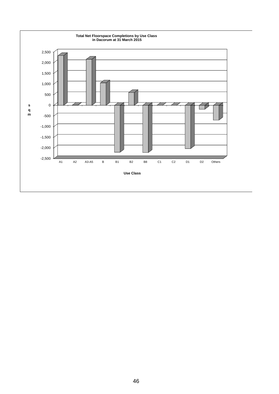